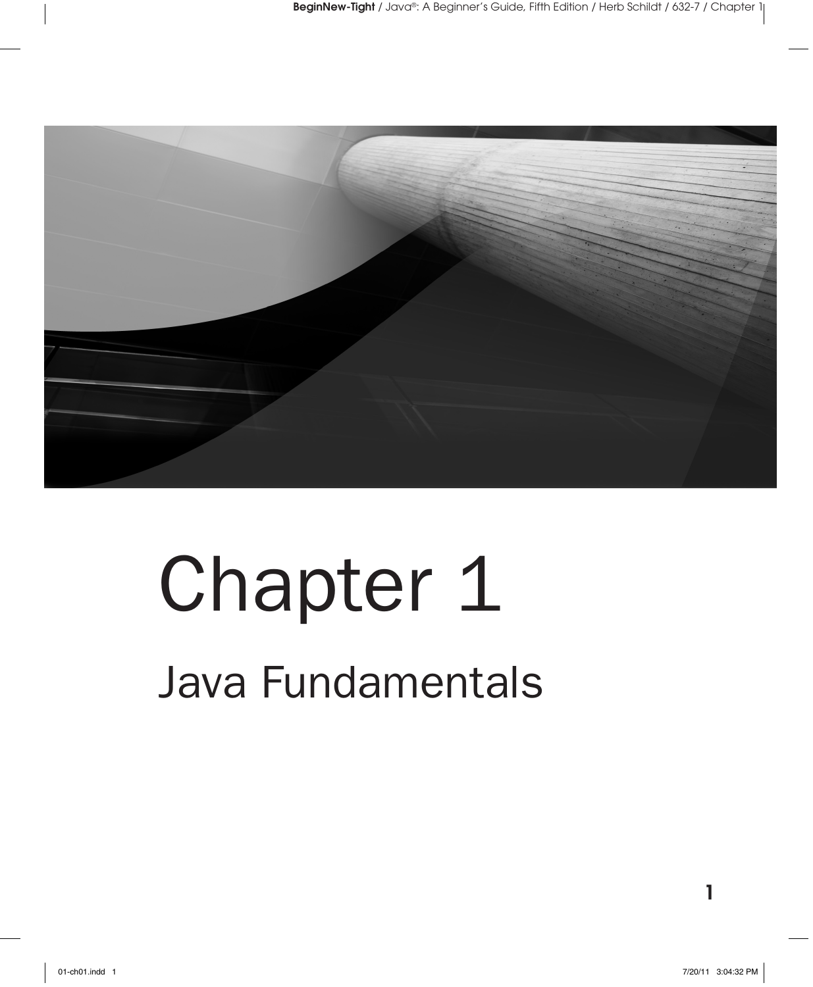

# Chapter 1 Java Fundamentals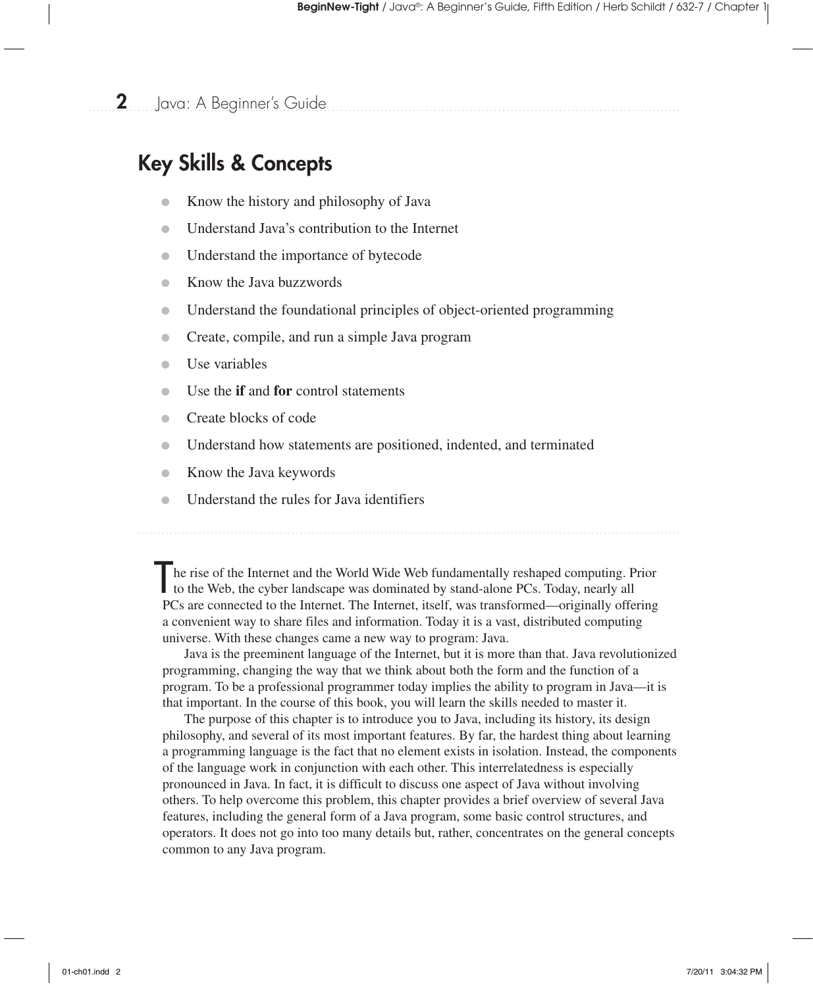### Key Skills & Concepts

- Know the history and philosophy of Java
- Understand Java's contribution to the Internet
- Understand the importance of bytecode
- Know the Java buzzwords
- Understand the foundational principles of object-oriented programming
- Create, compile, and run a simple Java program
- Use variables
- Use the **if** and **for** control statements
- Create blocks of code
- Understand how statements are positioned, indented, and terminated
- Know the Java keywords
- Understand the rules for Java identifiers

The rise of the Internet and the World Wide Web fundamentally reshaped computing. Prior to the Web, the cyber landscape was dominated by stand-alone PCs. Today, nearly all PCs are connected to the Internet. The Internet, itself, was transformed—originally offering a convenient way to share files and information. Today it is a vast, distributed computing universe. With these changes came a new way to program: Java.

Java is the preeminent language of the Internet, but it is more than that. Java revolutionized programming, changing the way that we think about both the form and the function of a program. To be a professional programmer today implies the ability to program in Java—it is that important. In the course of this book, you will learn the skills needed to master it.

The purpose of this chapter is to introduce you to Java, including its history, its design philosophy, and several of its most important features. By far, the hardest thing about learning a programming language is the fact that no element exists in isolation. Instead, the components of the language work in conjunction with each other. This interrelatedness is especially pronounced in Java. In fact, it is difficult to discuss one aspect of Java without involving others. To help overcome this problem, this chapter provides a brief overview of several Java features, including the general form of a Java program, some basic control structures, and operators. It does not go into too many details but, rather, concentrates on the general concepts common to any Java program.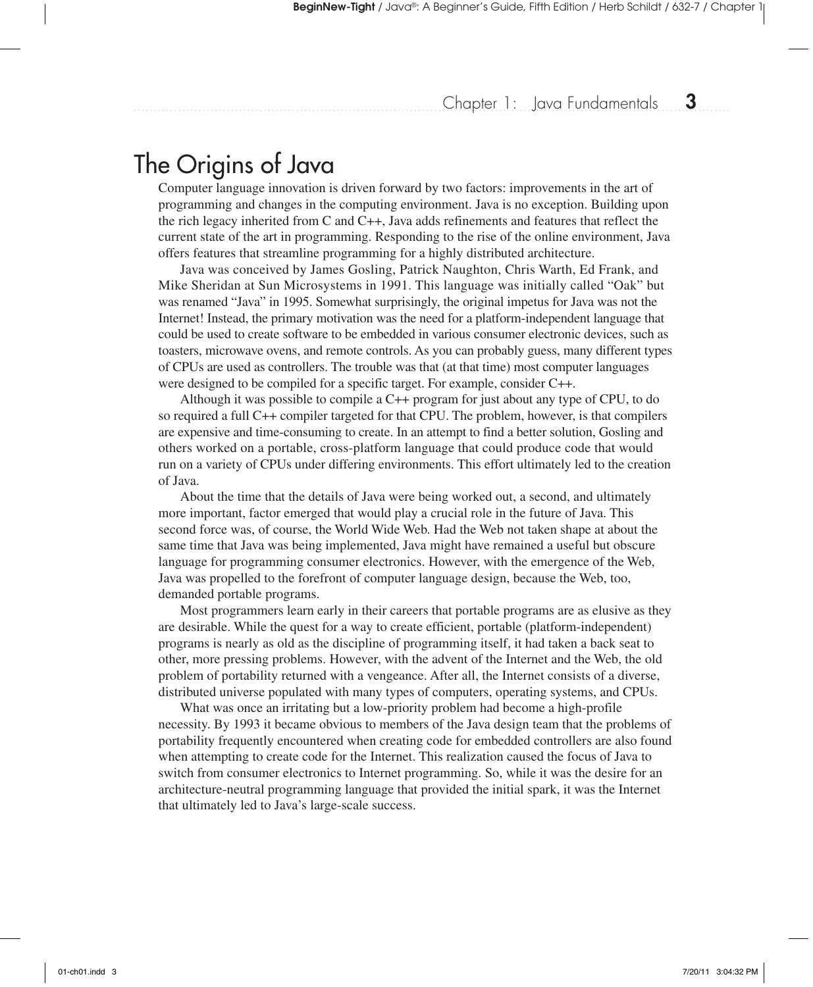# The Origins of Java

Computer language innovation is driven forward by two factors: improvements in the art of programming and changes in the computing environment. Java is no exception. Building upon the rich legacy inherited from C and C++, Java adds refinements and features that reflect the current state of the art in programming. Responding to the rise of the online environment, Java offers features that streamline programming for a highly distributed architecture.

Java was conceived by James Gosling, Patrick Naughton, Chris Warth, Ed Frank, and Mike Sheridan at Sun Microsystems in 1991. This language was initially called "Oak" but was renamed "Java" in 1995. Somewhat surprisingly, the original impetus for Java was not the Internet! Instead, the primary motivation was the need for a platform-independent language that could be used to create software to be embedded in various consumer electronic devices, such as toasters, microwave ovens, and remote controls. As you can probably guess, many different types of CPUs are used as controllers. The trouble was that (at that time) most computer languages were designed to be compiled for a specific target. For example, consider C++.

Although it was possible to compile a C++ program for just about any type of CPU, to do so required a full C++ compiler targeted for that CPU. The problem, however, is that compilers are expensive and time-consuming to create. In an attempt to find a better solution, Gosling and others worked on a portable, cross-platform language that could produce code that would run on a variety of CPUs under differing environments. This effort ultimately led to the creation of Java.

About the time that the details of Java were being worked out, a second, and ultimately more important, factor emerged that would play a crucial role in the future of Java. This second force was, of course, the World Wide Web. Had the Web not taken shape at about the same time that Java was being implemented, Java might have remained a useful but obscure language for programming consumer electronics. However, with the emergence of the Web, Java was propelled to the forefront of computer language design, because the Web, too, demanded portable programs.

Most programmers learn early in their careers that portable programs are as elusive as they are desirable. While the quest for a way to create efficient, portable (platform-independent) programs is nearly as old as the discipline of programming itself, it had taken a back seat to other, more pressing problems. However, with the advent of the Internet and the Web, the old problem of portability returned with a vengeance. After all, the Internet consists of a diverse, distributed universe populated with many types of computers, operating systems, and CPUs.

What was once an irritating but a low-priority problem had become a high-profile necessity. By 1993 it became obvious to members of the Java design team that the problems of portability frequently encountered when creating code for embedded controllers are also found when attempting to create code for the Internet. This realization caused the focus of Java to switch from consumer electronics to Internet programming. So, while it was the desire for an architecture-neutral programming language that provided the initial spark, it was the Internet that ultimately led to Java's large-scale success.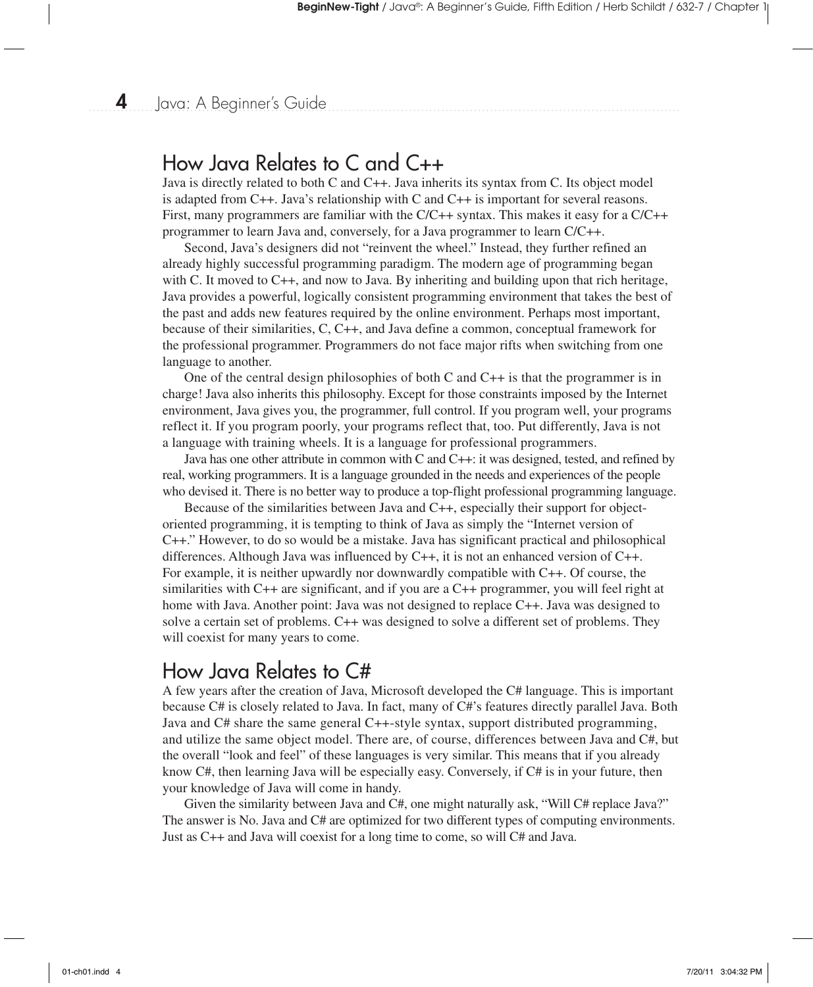### How Java Relates to C and C++

Java is directly related to both C and C++. Java inherits its syntax from C. Its object model is adapted from C++. Java's relationship with C and C++ is important for several reasons. First, many programmers are familiar with the C/C++ syntax. This makes it easy for a C/C++ programmer to learn Java and, conversely, for a Java programmer to learn C/C++.

Second, Java's designers did not "reinvent the wheel." Instead, they further refined an already highly successful programming paradigm. The modern age of programming began with C. It moved to C++, and now to Java. By inheriting and building upon that rich heritage, Java provides a powerful, logically consistent programming environment that takes the best of the past and adds new features required by the online environment. Perhaps most important, because of their similarities, C, C++, and Java define a common, conceptual framework for the professional programmer. Programmers do not face major rifts when switching from one language to another.

One of the central design philosophies of both C and C++ is that the programmer is in charge! Java also inherits this philosophy. Except for those constraints imposed by the Internet environment, Java gives you, the programmer, full control. If you program well, your programs reflect it. If you program poorly, your programs reflect that, too. Put differently, Java is not a language with training wheels. It is a language for professional programmers.

Java has one other attribute in common with C and C++: it was designed, tested, and refined by real, working programmers. It is a language grounded in the needs and experiences of the people who devised it. There is no better way to produce a top-flight professional programming language.

Because of the similarities between Java and C++, especially their support for objectoriented programming, it is tempting to think of Java as simply the "Internet version of C++." However, to do so would be a mistake. Java has significant practical and philosophical differences. Although Java was influenced by  $C_{++}$ , it is not an enhanced version of  $C_{++}$ . For example, it is neither upwardly nor downwardly compatible with C++. Of course, the similarities with C++ are significant, and if you are a C++ programmer, you will feel right at home with Java. Another point: Java was not designed to replace C++. Java was designed to solve a certain set of problems. C++ was designed to solve a different set of problems. They will coexist for many years to come.

#### How Java Relates to C#

A few years after the creation of Java, Microsoft developed the C# language. This is important because C# is closely related to Java. In fact, many of C#'s features directly parallel Java. Both Java and C# share the same general C++-style syntax, support distributed programming, and utilize the same object model. There are, of course, differences between Java and C#, but the overall "look and feel" of these languages is very similar. This means that if you already know C#, then learning Java will be especially easy. Conversely, if C# is in your future, then your knowledge of Java will come in handy.

Given the similarity between Java and C#, one might naturally ask, "Will C# replace Java?" The answer is No. Java and C# are optimized for two different types of computing environments. Just as C++ and Java will coexist for a long time to come, so will C# and Java.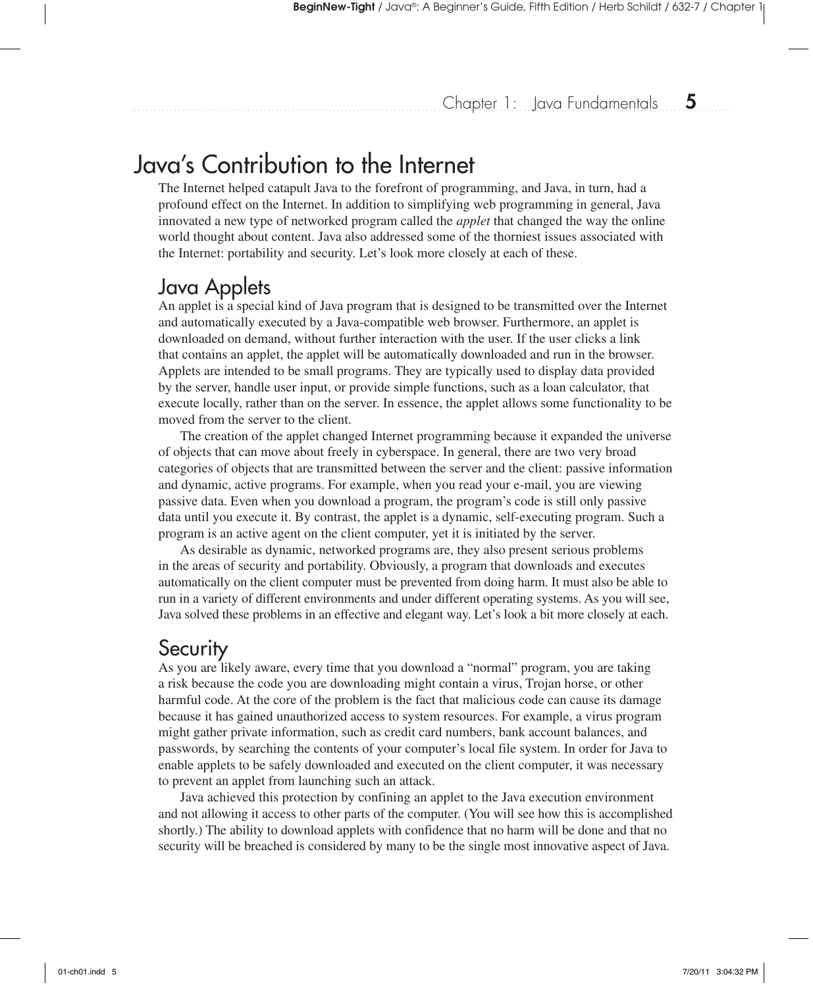### Java's Contribution to the Internet

The Internet helped catapult Java to the forefront of programming, and Java, in turn, had a profound effect on the Internet. In addition to simplifying web programming in general, Java innovated a new type of networked program called the *applet* that changed the way the online world thought about content. Java also addressed some of the thorniest issues associated with the Internet: portability and security. Let's look more closely at each of these.

### Java Applets

An applet is a special kind of Java program that is designed to be transmitted over the Internet and automatically executed by a Java-compatible web browser. Furthermore, an applet is downloaded on demand, without further interaction with the user. If the user clicks a link that contains an applet, the applet will be automatically downloaded and run in the browser. Applets are intended to be small programs. They are typically used to display data provided by the server, handle user input, or provide simple functions, such as a loan calculator, that execute locally, rather than on the server. In essence, the applet allows some functionality to be moved from the server to the client.

The creation of the applet changed Internet programming because it expanded the universe of objects that can move about freely in cyberspace. In general, there are two very broad categories of objects that are transmitted between the server and the client: passive information and dynamic, active programs. For example, when you read your e-mail, you are viewing passive data. Even when you download a program, the program's code is still only passive data until you execute it. By contrast, the applet is a dynamic, self-executing program. Such a program is an active agent on the client computer, yet it is initiated by the server.

As desirable as dynamic, networked programs are, they also present serious problems in the areas of security and portability. Obviously, a program that downloads and executes automatically on the client computer must be prevented from doing harm. It must also be able to run in a variety of different environments and under different operating systems. As you will see, Java solved these problems in an effective and elegant way. Let's look a bit more closely at each.

### **Security**

As you are likely aware, every time that you download a "normal" program, you are taking a risk because the code you are downloading might contain a virus, Trojan horse, or other harmful code. At the core of the problem is the fact that malicious code can cause its damage because it has gained unauthorized access to system resources. For example, a virus program might gather private information, such as credit card numbers, bank account balances, and passwords, by searching the contents of your computer's local file system. In order for Java to enable applets to be safely downloaded and executed on the client computer, it was necessary to prevent an applet from launching such an attack.

Java achieved this protection by confining an applet to the Java execution environment and not allowing it access to other parts of the computer. (You will see how this is accomplished shortly.) The ability to download applets with confidence that no harm will be done and that no security will be breached is considered by many to be the single most innovative aspect of Java.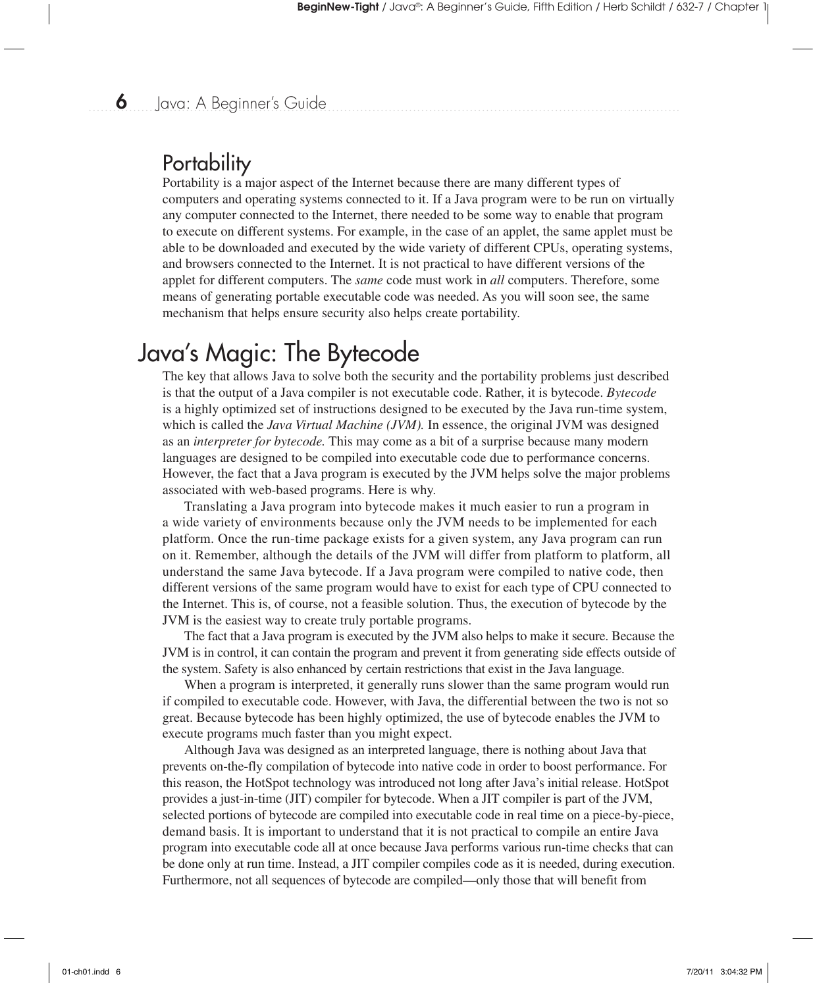### **Portability**

Portability is a major aspect of the Internet because there are many different types of computers and operating systems connected to it. If a Java program were to be run on virtually any computer connected to the Internet, there needed to be some way to enable that program to execute on different systems. For example, in the case of an applet, the same applet must be able to be downloaded and executed by the wide variety of different CPUs, operating systems, and browsers connected to the Internet. It is not practical to have different versions of the applet for different computers. The *same* code must work in *all* computers. Therefore, some means of generating portable executable code was needed. As you will soon see, the same mechanism that helps ensure security also helps create portability.

## Java's Magic: The Bytecode

The key that allows Java to solve both the security and the portability problems just described is that the output of a Java compiler is not executable code. Rather, it is bytecode. *Bytecode*  is a highly optimized set of instructions designed to be executed by the Java run-time system, which is called the *Java Virtual Machine (JVM).* In essence, the original JVM was designed as an *interpreter for bytecode.* This may come as a bit of a surprise because many modern languages are designed to be compiled into executable code due to performance concerns. However, the fact that a Java program is executed by the JVM helps solve the major problems associated with web-based programs. Here is why.

Translating a Java program into bytecode makes it much easier to run a program in a wide variety of environments because only the JVM needs to be implemented for each platform. Once the run-time package exists for a given system, any Java program can run on it. Remember, although the details of the JVM will differ from platform to platform, all understand the same Java bytecode. If a Java program were compiled to native code, then different versions of the same program would have to exist for each type of CPU connected to the Internet. This is, of course, not a feasible solution. Thus, the execution of bytecode by the JVM is the easiest way to create truly portable programs.

The fact that a Java program is executed by the JVM also helps to make it secure. Because the JVM is in control, it can contain the program and prevent it from generating side effects outside of the system. Safety is also enhanced by certain restrictions that exist in the Java language.

When a program is interpreted, it generally runs slower than the same program would run if compiled to executable code. However, with Java, the differential between the two is not so great. Because bytecode has been highly optimized, the use of bytecode enables the JVM to execute programs much faster than you might expect.

Although Java was designed as an interpreted language, there is nothing about Java that prevents on-the-fly compilation of bytecode into native code in order to boost performance. For this reason, the HotSpot technology was introduced not long after Java's initial release. HotSpot provides a just-in-time (JIT) compiler for bytecode. When a JIT compiler is part of the JVM, selected portions of bytecode are compiled into executable code in real time on a piece-by-piece, demand basis. It is important to understand that it is not practical to compile an entire Java program into executable code all at once because Java performs various run-time checks that can be done only at run time. Instead, a JIT compiler compiles code as it is needed, during execution. Furthermore, not all sequences of bytecode are compiled—only those that will benefit from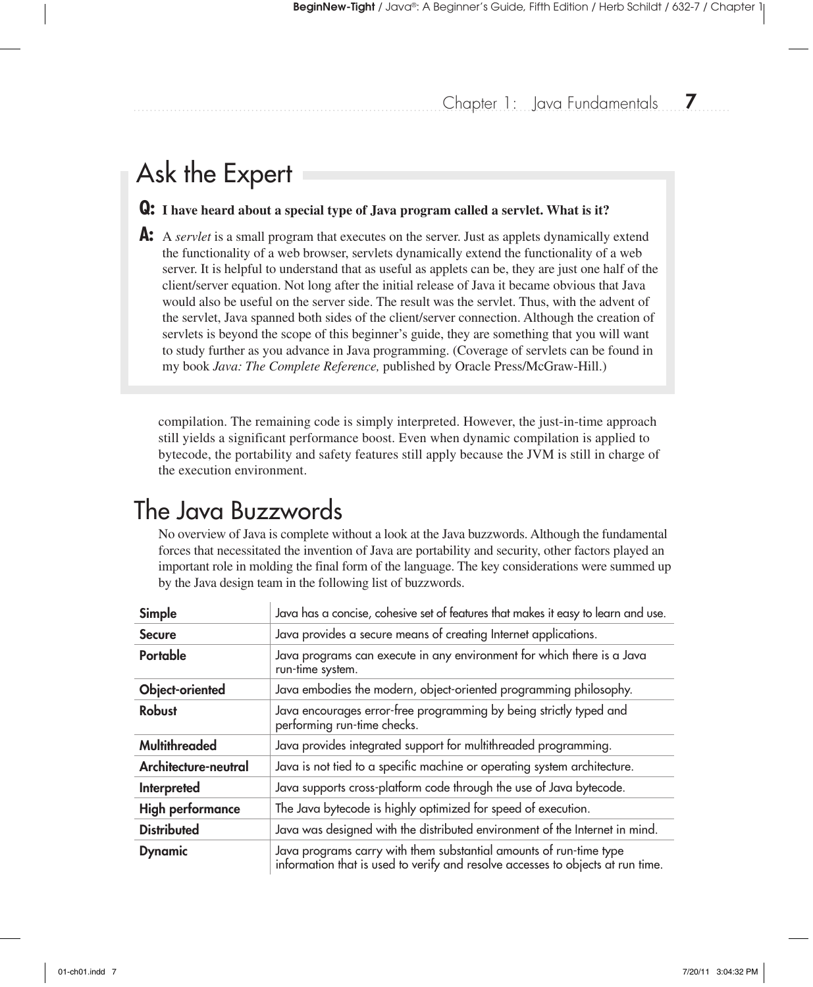# Ask the Expert

#### **Q: I have heard about a special type of Java program called a servlet. What is it?**

A: A *servlet* is a small program that executes on the server. Just as applets dynamically extend the functionality of a web browser, servlets dynamically extend the functionality of a web server. It is helpful to understand that as useful as applets can be, they are just one half of the client/server equation. Not long after the initial release of Java it became obvious that Java would also be useful on the server side. The result was the servlet. Thus, with the advent of the servlet, Java spanned both sides of the client/server connection. Although the creation of servlets is beyond the scope of this beginner's guide, they are something that you will want to study further as you advance in Java programming. (Coverage of servlets can be found in my book *Java: The Complete Reference,* published by Oracle Press/McGraw-Hill.)

compilation. The remaining code is simply interpreted. However, the just-in-time approach still yields a significant performance boost. Even when dynamic compilation is applied to bytecode, the portability and safety features still apply because the JVM is still in charge of the execution environment.

# The Java Buzzwords

No overview of Java is complete without a look at the Java buzzwords. Although the fundamental forces that necessitated the invention of Java are portability and security, other factors played an important role in molding the final form of the language. The key considerations were summed up by the Java design team in the following list of buzzwords.

| <b>Simple</b>           | Java has a concise, cohesive set of features that makes it easy to learn and use.                                                                     |  |  |
|-------------------------|-------------------------------------------------------------------------------------------------------------------------------------------------------|--|--|
| <b>Secure</b>           | Java provides a secure means of creating Internet applications.                                                                                       |  |  |
| Portable                | Java programs can execute in any environment for which there is a Java<br>run-time system.                                                            |  |  |
| Object-oriented         | Java embodies the modern, object-oriented programming philosophy.                                                                                     |  |  |
| <b>Robust</b>           | Java encourages error-free programming by being strictly typed and<br>performing run-time checks.                                                     |  |  |
| <b>Multithreaded</b>    | Java provides integrated support for multithreaded programming.                                                                                       |  |  |
| Architecture-neutral    | Java is not tied to a specific machine or operating system architecture.                                                                              |  |  |
| <b>Interpreted</b>      | Java supports cross-platform code through the use of Java bytecode.                                                                                   |  |  |
| <b>High performance</b> | The Java bytecode is highly optimized for speed of execution.                                                                                         |  |  |
| <b>Distributed</b>      | Java was designed with the distributed environment of the Internet in mind.                                                                           |  |  |
| <b>Dynamic</b>          | Java programs carry with them substantial amounts of run-time type<br>information that is used to verify and resolve accesses to objects at run time. |  |  |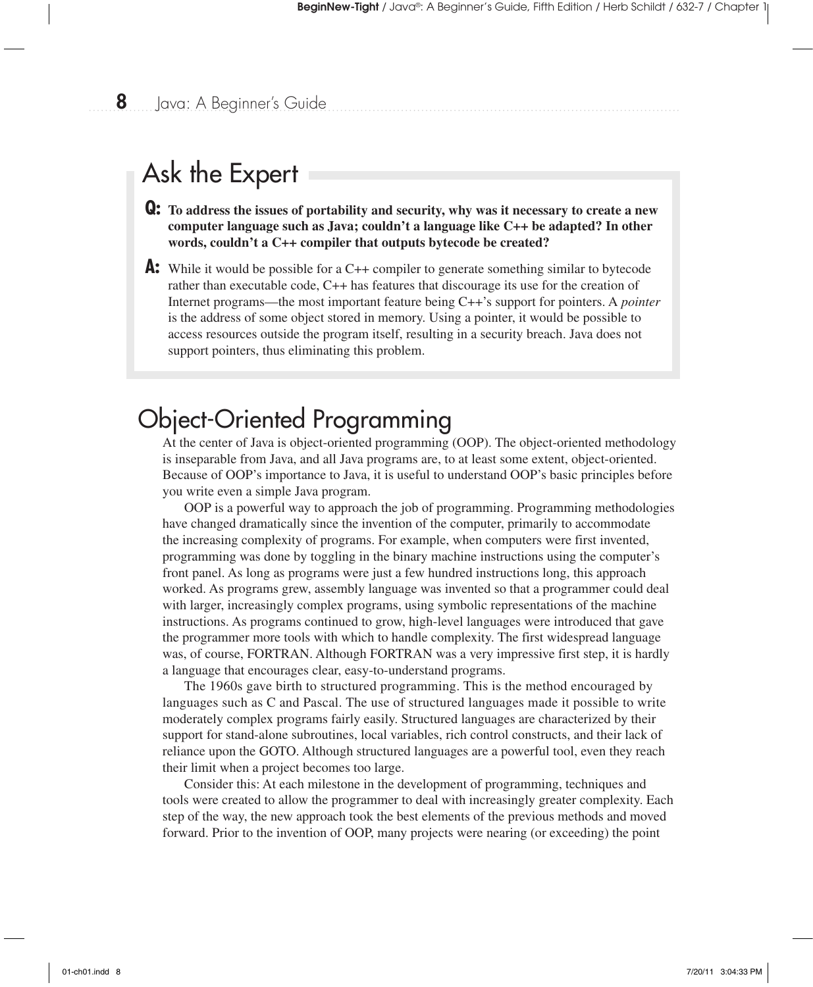# Ask the Expert

- **Q: To address the issues of portability and security, why was it necessary to create a new computer language such as Java; couldn't a language like C++ be adapted? In other words, couldn't a C++ compiler that outputs bytecode be created?**
- A: While it would be possible for a C++ compiler to generate something similar to bytecode rather than executable code, C++ has features that discourage its use for the creation of Internet programs—the most important feature being C++'s support for pointers. A *pointer* is the address of some object stored in memory. Using a pointer, it would be possible to access resources outside the program itself, resulting in a security breach. Java does not support pointers, thus eliminating this problem.

# Object-Oriented Programming

At the center of Java is object-oriented programming (OOP). The object-oriented methodology is inseparable from Java, and all Java programs are, to at least some extent, object-oriented. Because of OOP's importance to Java, it is useful to understand OOP's basic principles before you write even a simple Java program.

OOP is a powerful way to approach the job of programming. Programming methodologies have changed dramatically since the invention of the computer, primarily to accommodate the increasing complexity of programs. For example, when computers were first invented, programming was done by toggling in the binary machine instructions using the computer's front panel. As long as programs were just a few hundred instructions long, this approach worked. As programs grew, assembly language was invented so that a programmer could deal with larger, increasingly complex programs, using symbolic representations of the machine instructions. As programs continued to grow, high-level languages were introduced that gave the programmer more tools with which to handle complexity. The first widespread language was, of course, FORTRAN. Although FORTRAN was a very impressive first step, it is hardly a language that encourages clear, easy-to-understand programs.

The 1960s gave birth to structured programming. This is the method encouraged by languages such as C and Pascal. The use of structured languages made it possible to write moderately complex programs fairly easily. Structured languages are characterized by their support for stand-alone subroutines, local variables, rich control constructs, and their lack of reliance upon the GOTO. Although structured languages are a powerful tool, even they reach their limit when a project becomes too large.

Consider this: At each milestone in the development of programming, techniques and tools were created to allow the programmer to deal with increasingly greater complexity. Each step of the way, the new approach took the best elements of the previous methods and moved forward. Prior to the invention of OOP, many projects were nearing (or exceeding) the point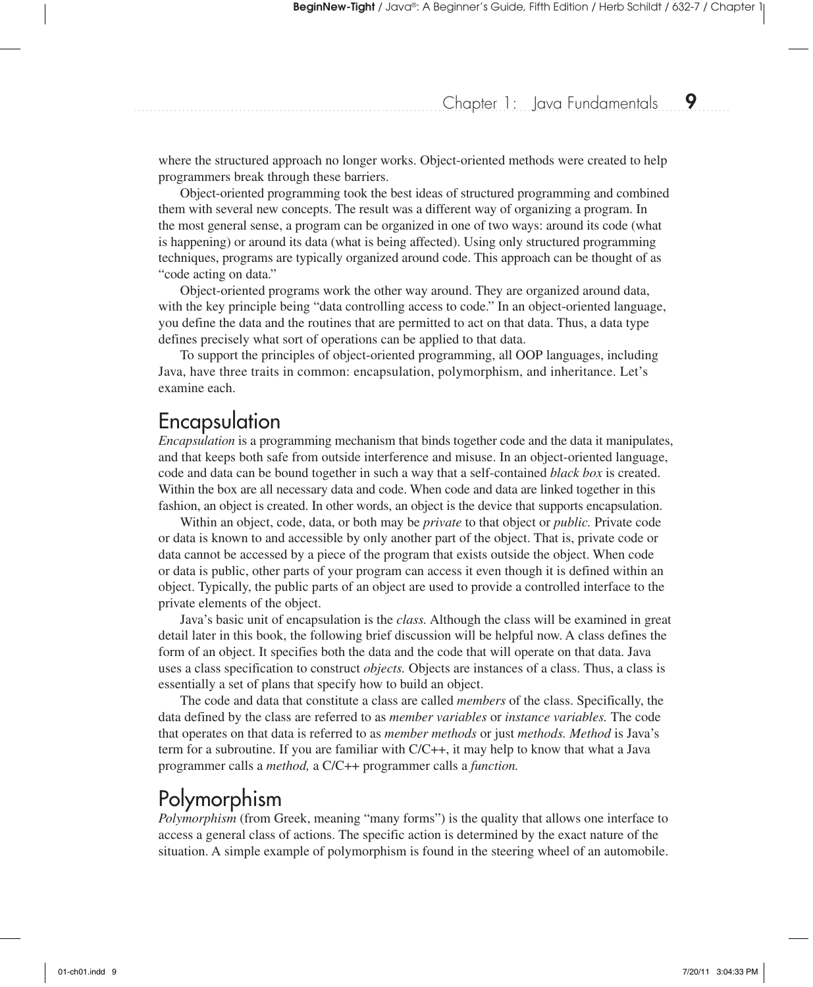where the structured approach no longer works. Object-oriented methods were created to help programmers break through these barriers.

Object-oriented programming took the best ideas of structured programming and combined them with several new concepts. The result was a different way of organizing a program. In the most general sense, a program can be organized in one of two ways: around its code (what is happening) or around its data (what is being affected). Using only structured programming techniques, programs are typically organized around code. This approach can be thought of as "code acting on data."

Object-oriented programs work the other way around. They are organized around data, with the key principle being "data controlling access to code." In an object-oriented language, you define the data and the routines that are permitted to act on that data. Thus, a data type defines precisely what sort of operations can be applied to that data.

To support the principles of object-oriented programming, all OOP languages, including Java, have three traits in common: encapsulation, polymorphism, and inheritance. Let's examine each.

#### Encapsulation

*Encapsulation* is a programming mechanism that binds together code and the data it manipulates, and that keeps both safe from outside interference and misuse. In an object-oriented language, code and data can be bound together in such a way that a self-contained *black box* is created. Within the box are all necessary data and code. When code and data are linked together in this fashion, an object is created. In other words, an object is the device that supports encapsulation.

Within an object, code, data, or both may be *private* to that object or *public.* Private code or data is known to and accessible by only another part of the object. That is, private code or data cannot be accessed by a piece of the program that exists outside the object. When code or data is public, other parts of your program can access it even though it is defined within an object. Typically, the public parts of an object are used to provide a controlled interface to the private elements of the object.

Java's basic unit of encapsulation is the *class.* Although the class will be examined in great detail later in this book, the following brief discussion will be helpful now. A class defines the form of an object. It specifies both the data and the code that will operate on that data. Java uses a class specification to construct *objects.* Objects are instances of a class. Thus, a class is essentially a set of plans that specify how to build an object.

The code and data that constitute a class are called *members* of the class. Specifically, the data defined by the class are referred to as *member variables* or *instance variables.* The code that operates on that data is referred to as *member methods* or just *methods. Method* is Java's term for a subroutine. If you are familiar with C/C++, it may help to know that what a Java programmer calls a *method,* a C/C++ programmer calls a *function.*

### Polymorphism

*Polymorphism* (from Greek, meaning "many forms") is the quality that allows one interface to access a general class of actions. The specific action is determined by the exact nature of the situation. A simple example of polymorphism is found in the steering wheel of an automobile.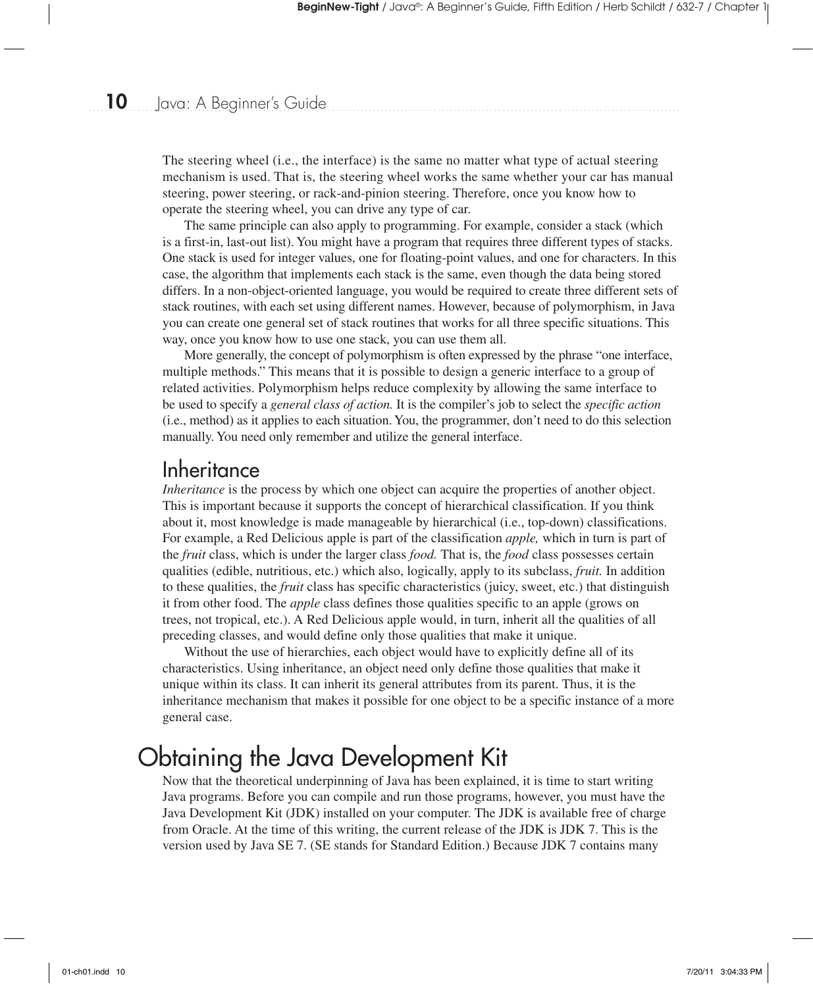The steering wheel (i.e., the interface) is the same no matter what type of actual steering mechanism is used. That is, the steering wheel works the same whether your car has manual steering, power steering, or rack-and-pinion steering. Therefore, once you know how to operate the steering wheel, you can drive any type of car.

The same principle can also apply to programming. For example, consider a stack (which is a first-in, last-out list). You might have a program that requires three different types of stacks. One stack is used for integer values, one for floating-point values, and one for characters. In this case, the algorithm that implements each stack is the same, even though the data being stored differs. In a non-object-oriented language, you would be required to create three different sets of stack routines, with each set using different names. However, because of polymorphism, in Java you can create one general set of stack routines that works for all three specific situations. This way, once you know how to use one stack, you can use them all.

More generally, the concept of polymorphism is often expressed by the phrase "one interface, multiple methods." This means that it is possible to design a generic interface to a group of related activities. Polymorphism helps reduce complexity by allowing the same interface to be used to specify a *general class of action.* It is the compiler's job to select the *specific action*  (i.e., method) as it applies to each situation. You, the programmer, don't need to do this selection manually. You need only remember and utilize the general interface.

#### **Inheritance**

*Inheritance* is the process by which one object can acquire the properties of another object. This is important because it supports the concept of hierarchical classification. If you think about it, most knowledge is made manageable by hierarchical (i.e., top-down) classifications. For example, a Red Delicious apple is part of the classification *apple,* which in turn is part of the *fruit* class, which is under the larger class *food.* That is, the *food* class possesses certain qualities (edible, nutritious, etc.) which also, logically, apply to its subclass, *fruit.* In addition to these qualities, the *fruit* class has specific characteristics (juicy, sweet, etc.) that distinguish it from other food. The *apple* class defines those qualities specific to an apple (grows on trees, not tropical, etc.). A Red Delicious apple would, in turn, inherit all the qualities of all preceding classes, and would define only those qualities that make it unique.

Without the use of hierarchies, each object would have to explicitly define all of its characteristics. Using inheritance, an object need only define those qualities that make it unique within its class. It can inherit its general attributes from its parent. Thus, it is the inheritance mechanism that makes it possible for one object to be a specific instance of a more general case.

# Obtaining the Java Development Kit

Now that the theoretical underpinning of Java has been explained, it is time to start writing Java programs. Before you can compile and run those programs, however, you must have the Java Development Kit (JDK) installed on your computer. The JDK is available free of charge from Oracle. At the time of this writing, the current release of the JDK is JDK 7. This is the version used by Java SE 7. (SE stands for Standard Edition.) Because JDK 7 contains many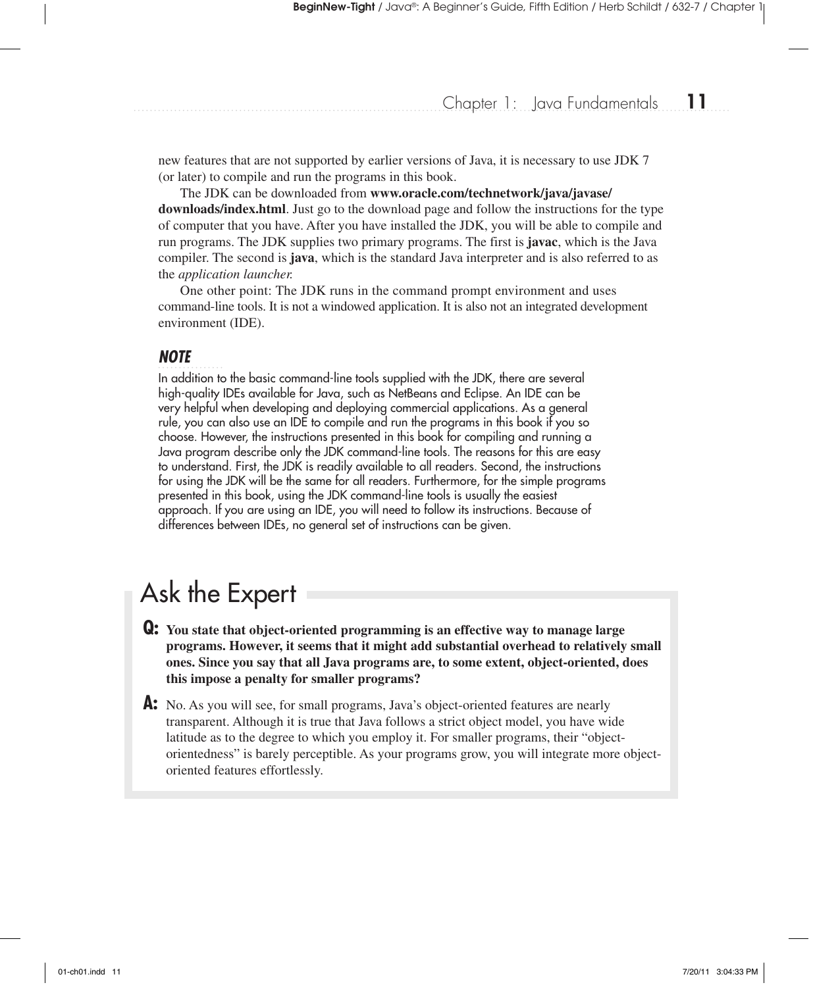new features that are not supported by earlier versions of Java, it is necessary to use JDK 7 (or later) to compile and run the programs in this book.

The JDK can be downloaded from **www.oracle.com/technetwork/java/javase/ downloads/index.html**. Just go to the download page and follow the instructions for the type of computer that you have. After you have installed the JDK, you will be able to compile and run programs. The JDK supplies two primary programs. The first is **javac**, which is the Java compiler. The second is **java**, which is the standard Java interpreter and is also referred to as the *application launcher.*

One other point: The JDK runs in the command prompt environment and uses command-line tools. It is not a windowed application. It is also not an integrated development environment (IDE).

#### *Note*

In addition to the basic command-line tools supplied with the JDK, there are several high-quality IDEs available for Java, such as NetBeans and Eclipse. An IDE can be very helpful when developing and deploying commercial applications. As a general rule, you can also use an IDE to compile and run the programs in this book if you so choose. However, the instructions presented in this book for compiling and running a Java program describe only the JDK command-line tools. The reasons for this are easy to understand. First, the JDK is readily available to all readers. Second, the instructions for using the JDK will be the same for all readers. Furthermore, for the simple programs presented in this book, using the JDK command-line tools is usually the easiest approach. If you are using an IDE, you will need to follow its instructions. Because of differences between IDEs, no general set of instructions can be given.

# Ask the Expert

- **Q: You state that object-oriented programming is an effective way to manage large programs. However, it seems that it might add substantial overhead to relatively small ones. Since you say that all Java programs are, to some extent, object-oriented, does this impose a penalty for smaller programs?**
- A: No. As you will see, for small programs, Java's object-oriented features are nearly transparent. Although it is true that Java follows a strict object model, you have wide latitude as to the degree to which you employ it. For smaller programs, their "objectorientedness" is barely perceptible. As your programs grow, you will integrate more objectoriented features effortlessly.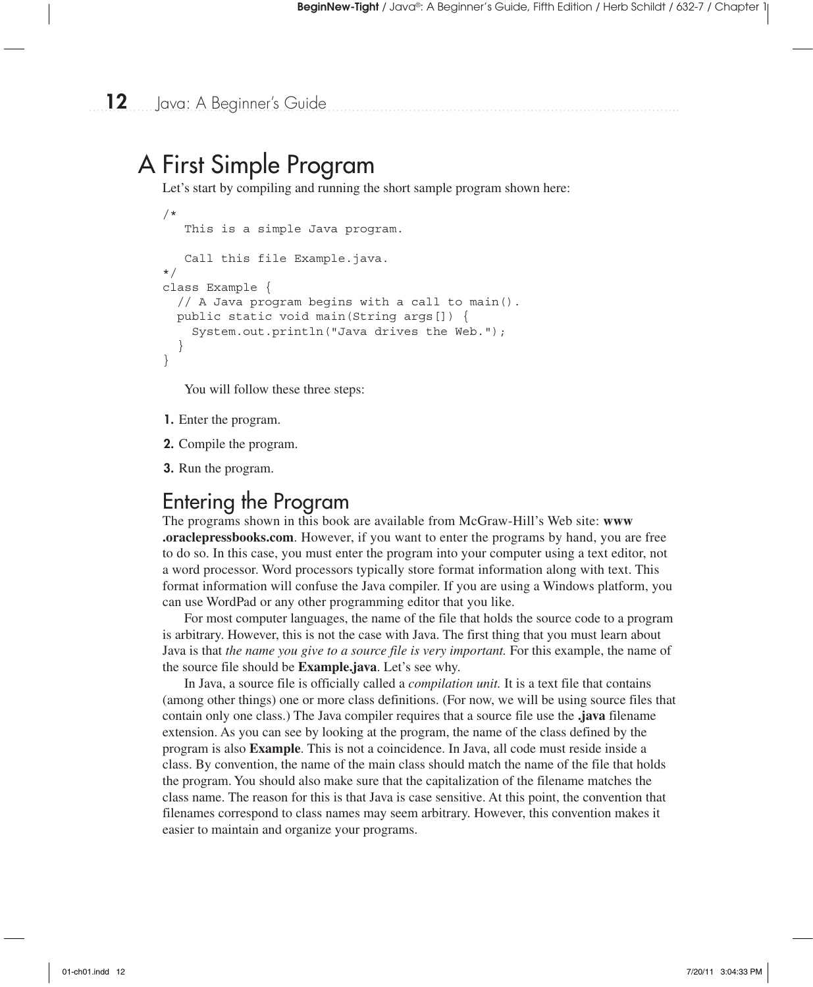# A First Simple Program

Let's start by compiling and running the short sample program shown here:

```
/*
    This is a simple Java program.
    Call this file Example.java.
*/
class Example {
  // A Java program begins with a call to main().
  public static void main(String args[]) {
     System.out.println("Java drives the Web.");
 }
}
```
You will follow these three steps:

- 1. Enter the program.
- 2. Compile the program.

3. Run the program.

### Entering the Program

The programs shown in this book are available from McGraw-Hill's Web site: **www .oraclepressbooks.com**. However, if you want to enter the programs by hand, you are free to do so. In this case, you must enter the program into your computer using a text editor, not a word processor. Word processors typically store format information along with text. This format information will confuse the Java compiler. If you are using a Windows platform, you can use WordPad or any other programming editor that you like.

For most computer languages, the name of the file that holds the source code to a program is arbitrary. However, this is not the case with Java. The first thing that you must learn about Java is that *the name you give to a source file is very important.* For this example, the name of the source file should be **Example.java**. Let's see why.

In Java, a source file is officially called a *compilation unit.* It is a text file that contains (among other things) one or more class definitions. (For now, we will be using source files that contain only one class.) The Java compiler requires that a source file use the **.java** filename extension. As you can see by looking at the program, the name of the class defined by the program is also **Example**. This is not a coincidence. In Java, all code must reside inside a class. By convention, the name of the main class should match the name of the file that holds the program. You should also make sure that the capitalization of the filename matches the class name. The reason for this is that Java is case sensitive. At this point, the convention that filenames correspond to class names may seem arbitrary. However, this convention makes it easier to maintain and organize your programs.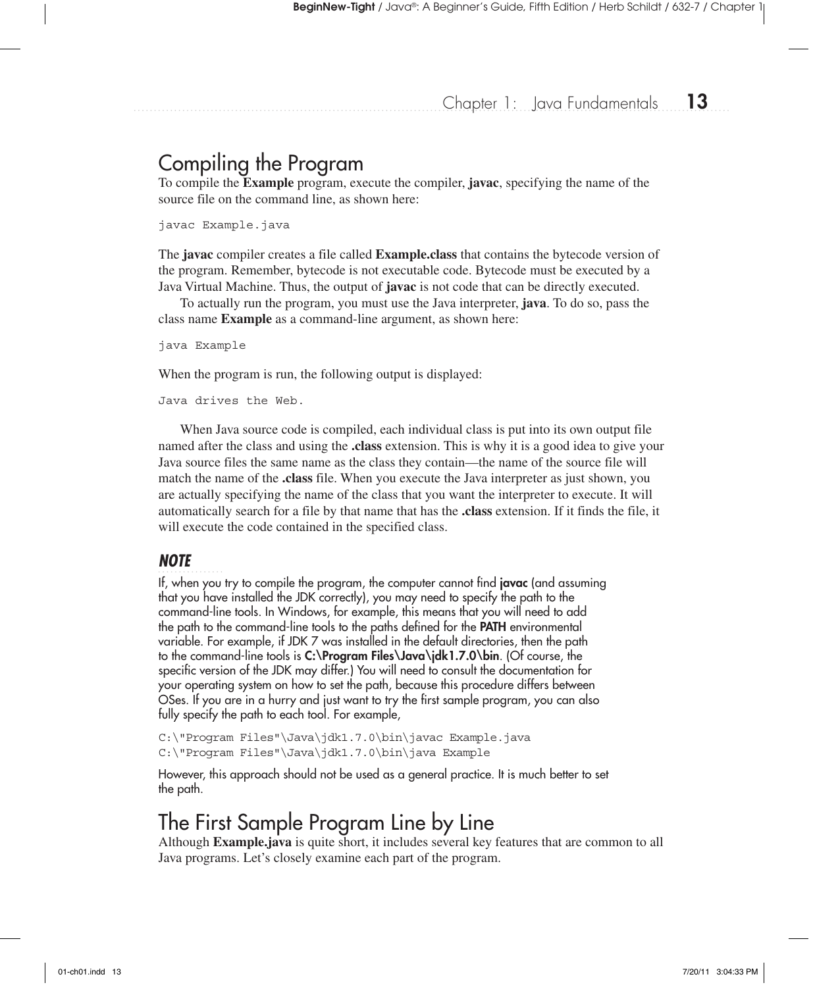### Compiling the Program

To compile the **Example** program, execute the compiler, **javac**, specifying the name of the source file on the command line, as shown here:

```
javac Example.java
```
The **javac** compiler creates a file called **Example.class** that contains the bytecode version of the program. Remember, bytecode is not executable code. Bytecode must be executed by a Java Virtual Machine. Thus, the output of **javac** is not code that can be directly executed.

To actually run the program, you must use the Java interpreter, **java**. To do so, pass the class name **Example** as a command-line argument, as shown here:

```
java Example
```
When the program is run, the following output is displayed:

Java drives the Web.

When Java source code is compiled, each individual class is put into its own output file named after the class and using the **.class** extension. This is why it is a good idea to give your Java source files the same name as the class they contain—the name of the source file will match the name of the **.class** file. When you execute the Java interpreter as just shown, you are actually specifying the name of the class that you want the interpreter to execute. It will automatically search for a file by that name that has the **.class** extension. If it finds the file, it will execute the code contained in the specified class.

#### *Note*

If, when you try to compile the program, the computer cannot find **javac** (and assuming that you have installed the JDK correctly), you may need to specify the path to the command-line tools. In Windows, for example, this means that you will need to add the path to the command-line tools to the paths defined for the **PATH** environmental variable. For example, if JDK 7 was installed in the default directories, then the path to the command-line tools is C:\Program Files\Java\jdk1.7.0\bin. (Of course, the specific version of the JDK may differ.) You will need to consult the documentation for your operating system on how to set the path, because this procedure differs between OSes. If you are in a hurry and just want to try the first sample program, you can also fully specify the path to each tool. For example,

```
C:\"Program Files"\Java\jdk1.7.0\bin\javac Example.java
C:\"Program Files"\Java\jdk1.7.0\bin\java Example
```
However, this approach should not be used as a general practice. It is much better to set the path.

### The First Sample Program Line by Line

Although **Example.java** is quite short, it includes several key features that are common to all Java programs. Let's closely examine each part of the program.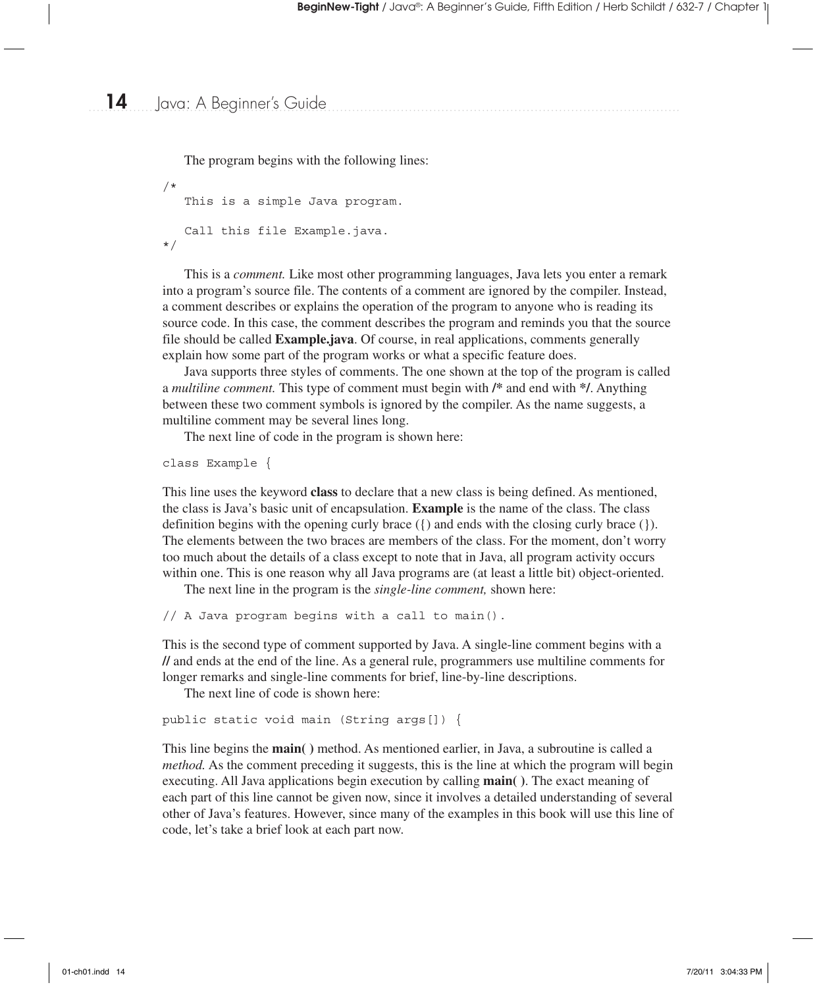The program begins with the following lines:

```
/*
    This is a simple Java program.
    Call this file Example.java.
*/
```
This is a *comment.* Like most other programming languages, Java lets you enter a remark into a program's source file. The contents of a comment are ignored by the compiler. Instead, a comment describes or explains the operation of the program to anyone who is reading its source code. In this case, the comment describes the program and reminds you that the source file should be called **Example.java**. Of course, in real applications, comments generally explain how some part of the program works or what a specific feature does.

Java supports three styles of comments. The one shown at the top of the program is called a *multiline comment.* This type of comment must begin with **/\*** and end with **\*/**. Anything between these two comment symbols is ignored by the compiler. As the name suggests, a multiline comment may be several lines long.

The next line of code in the program is shown here:

```
class Example {
```
This line uses the keyword **class** to declare that a new class is being defined. As mentioned, the class is Java's basic unit of encapsulation. **Example** is the name of the class. The class definition begins with the opening curly brace  $({})$  and ends with the closing curly brace  $({})$ . The elements between the two braces are members of the class. For the moment, don't worry too much about the details of a class except to note that in Java, all program activity occurs within one. This is one reason why all Java programs are (at least a little bit) object-oriented.

The next line in the program is the *single-line comment,* shown here:

```
// A Java program begins with a call to main().
```
This is the second type of comment supported by Java. A single-line comment begins with a **//** and ends at the end of the line. As a general rule, programmers use multiline comments for longer remarks and single-line comments for brief, line-by-line descriptions.

The next line of code is shown here:

```
public static void main (String args[]) {
```
This line begins the **main( )** method. As mentioned earlier, in Java, a subroutine is called a *method.* As the comment preceding it suggests, this is the line at which the program will begin executing. All Java applications begin execution by calling **main( )**. The exact meaning of each part of this line cannot be given now, since it involves a detailed understanding of several other of Java's features. However, since many of the examples in this book will use this line of code, let's take a brief look at each part now.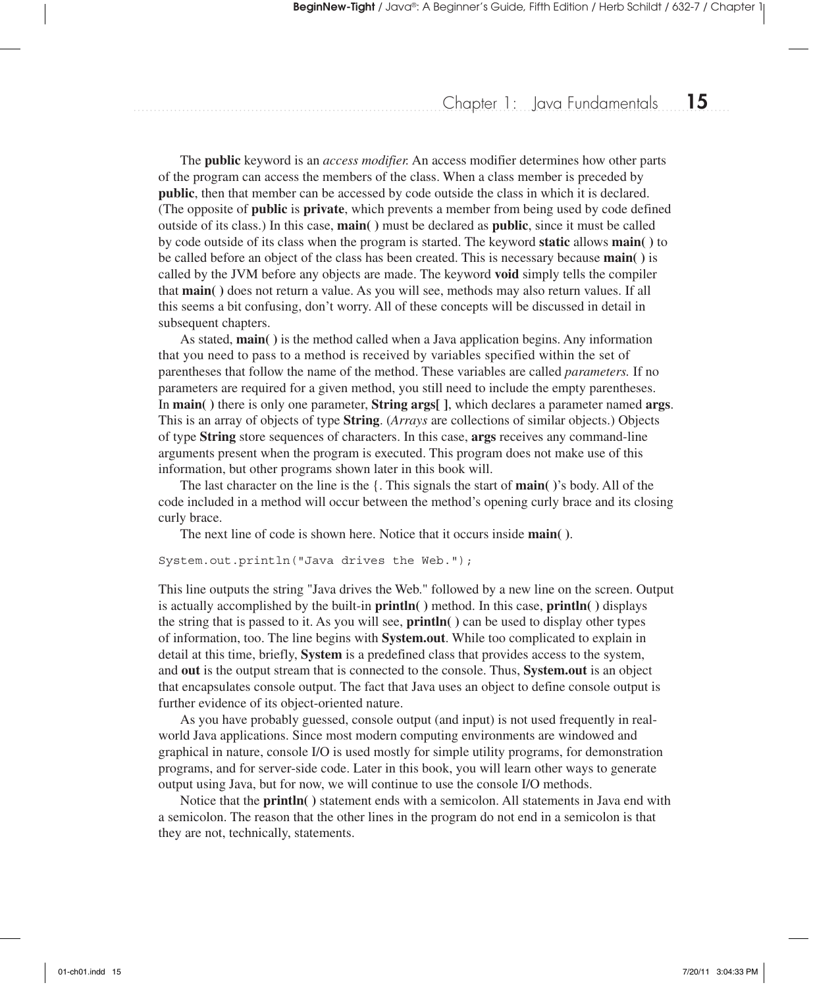The **public** keyword is an *access modifier.* An access modifier determines how other parts of the program can access the members of the class. When a class member is preceded by **public**, then that member can be accessed by code outside the class in which it is declared. (The opposite of **public** is **private**, which prevents a member from being used by code defined outside of its class.) In this case, **main( )** must be declared as **public**, since it must be called by code outside of its class when the program is started. The keyword **static** allows **main( )** to be called before an object of the class has been created. This is necessary because **main( )** is called by the JVM before any objects are made. The keyword **void** simply tells the compiler that **main( )** does not return a value. As you will see, methods may also return values. If all this seems a bit confusing, don't worry. All of these concepts will be discussed in detail in subsequent chapters.

As stated, **main( )** is the method called when a Java application begins. Any information that you need to pass to a method is received by variables specified within the set of parentheses that follow the name of the method. These variables are called *parameters.* If no parameters are required for a given method, you still need to include the empty parentheses. In **main( )** there is only one parameter, **String args[ ]**, which declares a parameter named **args**. This is an array of objects of type **String**. (*Arrays* are collections of similar objects.) Objects of type **String** store sequences of characters. In this case, **args** receives any command-line arguments present when the program is executed. This program does not make use of this information, but other programs shown later in this book will.

The last character on the line is the {. This signals the start of **main( )**'s body. All of the code included in a method will occur between the method's opening curly brace and its closing curly brace.

The next line of code is shown here. Notice that it occurs inside **main( )**.

#### System.out.println("Java drives the Web.");

This line outputs the string "Java drives the Web." followed by a new line on the screen. Output is actually accomplished by the built-in **println( )** method. In this case, **println( )** displays the string that is passed to it. As you will see, **println( )** can be used to display other types of information, too. The line begins with **System.out**. While too complicated to explain in detail at this time, briefly, **System** is a predefined class that provides access to the system, and **out** is the output stream that is connected to the console. Thus, **System.out** is an object that encapsulates console output. The fact that Java uses an object to define console output is further evidence of its object-oriented nature.

As you have probably guessed, console output (and input) is not used frequently in realworld Java applications. Since most modern computing environments are windowed and graphical in nature, console I/O is used mostly for simple utility programs, for demonstration programs, and for server-side code. Later in this book, you will learn other ways to generate output using Java, but for now, we will continue to use the console I/O methods.

Notice that the **println( )** statement ends with a semicolon. All statements in Java end with a semicolon. The reason that the other lines in the program do not end in a semicolon is that they are not, technically, statements.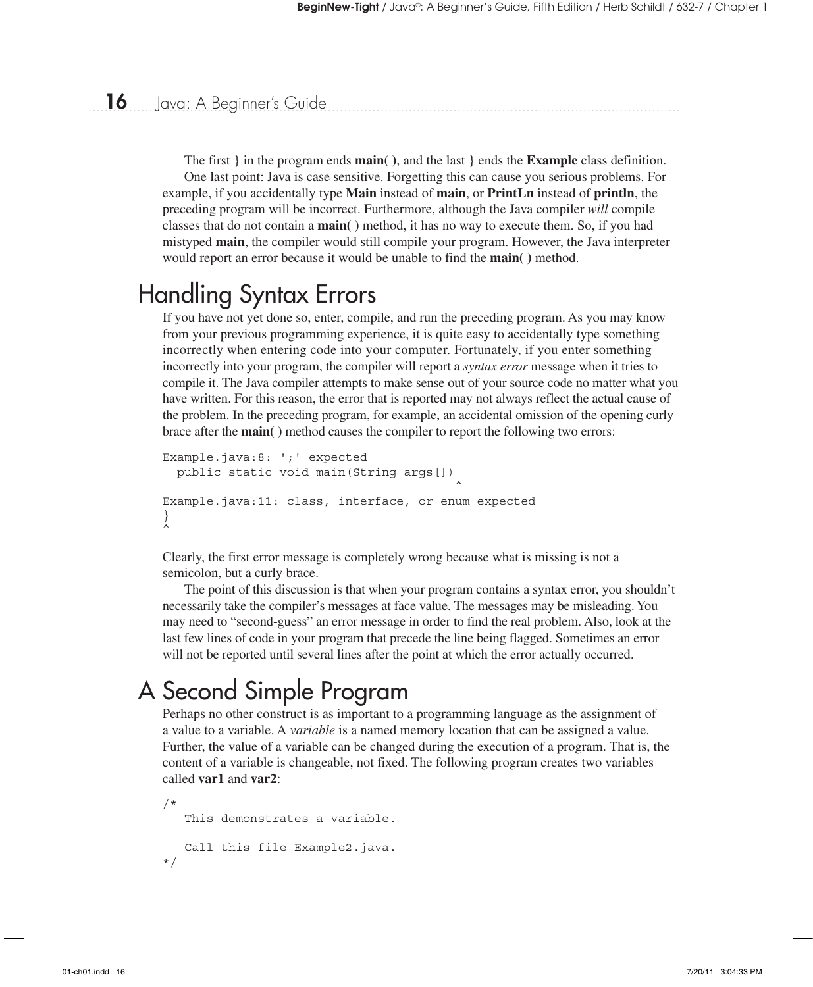The first } in the program ends **main( )**, and the last } ends the **Example** class definition. One last point: Java is case sensitive. Forgetting this can cause you serious problems. For example, if you accidentally type **Main** instead of **main**, or **PrintLn** instead of **println**, the preceding program will be incorrect. Furthermore, although the Java compiler *will* compile classes that do not contain a **main( )** method, it has no way to execute them. So, if you had mistyped **main**, the compiler would still compile your program. However, the Java interpreter would report an error because it would be unable to find the **main( )** method.

# Handling Syntax Errors

If you have not yet done so, enter, compile, and run the preceding program. As you may know from your previous programming experience, it is quite easy to accidentally type something incorrectly when entering code into your computer. Fortunately, if you enter something incorrectly into your program, the compiler will report a *syntax error* message when it tries to compile it. The Java compiler attempts to make sense out of your source code no matter what you have written. For this reason, the error that is reported may not always reflect the actual cause of the problem. In the preceding program, for example, an accidental omission of the opening curly brace after the **main( )** method causes the compiler to report the following two errors:

```
Example.java:8: ';' expected
  public static void main(String args[])
\simExample.java:11: class, interface, or enum expected
}
\hat{\phantom{1}}
```
Clearly, the first error message is completely wrong because what is missing is not a semicolon, but a curly brace.

The point of this discussion is that when your program contains a syntax error, you shouldn't necessarily take the compiler's messages at face value. The messages may be misleading. You may need to "second-guess" an error message in order to find the real problem. Also, look at the last few lines of code in your program that precede the line being flagged. Sometimes an error will not be reported until several lines after the point at which the error actually occurred.

# A Second Simple Program

Perhaps no other construct is as important to a programming language as the assignment of a value to a variable. A *variable* is a named memory location that can be assigned a value. Further, the value of a variable can be changed during the execution of a program. That is, the content of a variable is changeable, not fixed. The following program creates two variables called **var1** and **var2**:

```
/*
    This demonstrates a variable.
    Call this file Example2.java.
*/
```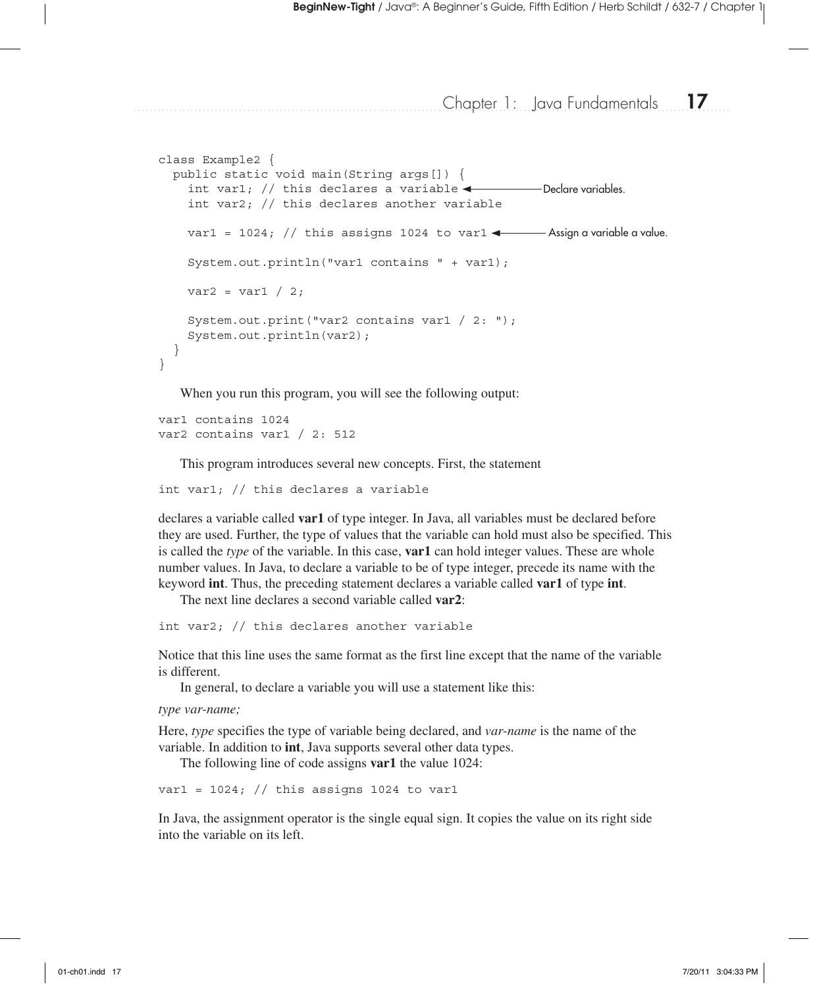```
class Example2 {
   public static void main(String args[]) {
    int var1; // this declares a variable \triangleleft int var2; // this declares another variable
<code>var1 = 1024;</code> // this assigns 1024 to var1 \blacktriangleleft —— Assign a variable a value.
     System.out.println("var1 contains " + var1);
    var2 = var1 / 2;
     System.out.print("var2 contains var1 / 2: ");
     System.out.println(var2);
   }
}
                                                              Declare variables.
```
When you run this program, you will see the following output:

var1 contains 1024 var2 contains var1 / 2: 512

This program introduces several new concepts. First, the statement

int var1; // this declares a variable

declares a variable called **var1** of type integer. In Java, all variables must be declared before they are used. Further, the type of values that the variable can hold must also be specified. This is called the *type* of the variable. In this case, **var1** can hold integer values. These are whole number values. In Java, to declare a variable to be of type integer, precede its name with the keyword **int**. Thus, the preceding statement declares a variable called **var1** of type **int**.

The next line declares a second variable called **var2**:

```
int var2; // this declares another variable
```
Notice that this line uses the same format as the first line except that the name of the variable is different.

In general, to declare a variable you will use a statement like this:

*type var-name;*

Here, *type* specifies the type of variable being declared, and *var-name* is the name of the variable. In addition to **int**, Java supports several other data types.

The following line of code assigns **var1** the value 1024:

var1 = 1024; // this assigns 1024 to var1

In Java, the assignment operator is the single equal sign. It copies the value on its right side into the variable on its left.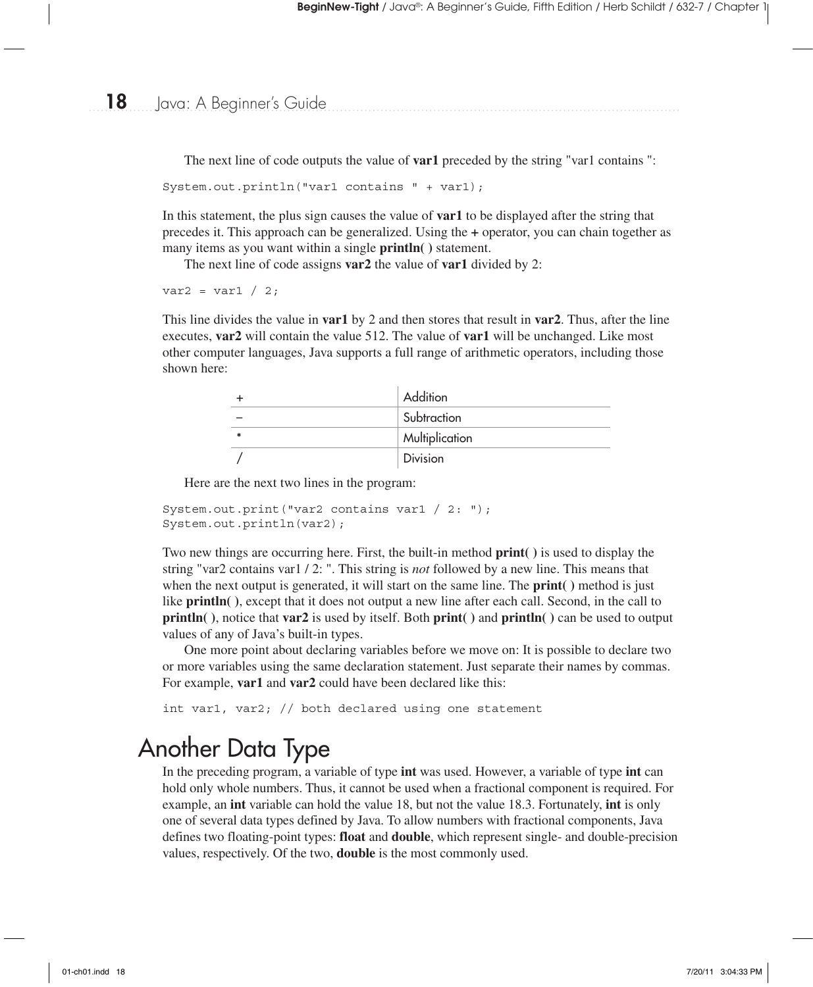The next line of code outputs the value of **var1** preceded by the string "var1 contains ":

```
System.out.println("var1 contains " + var1);
```
In this statement, the plus sign causes the value of **var1** to be displayed after the string that precedes it. This approach can be generalized. Using the **+** operator, you can chain together as many items as you want within a single **println( )** statement.

The next line of code assigns **var2** the value of **var1** divided by 2:

 $var2 = var1 / 2;$ 

This line divides the value in **var1** by 2 and then stores that result in **var2**. Thus, after the line executes, **var2** will contain the value 512. The value of **var1** will be unchanged. Like most other computer languages, Java supports a full range of arithmetic operators, including those shown here:

| Addition        |
|-----------------|
| Subtraction     |
| Multiplication  |
| <b>Division</b> |

Here are the next two lines in the program:

```
System.out.print("var2 contains var1 / 2: ");
System.out.println(var2);
```
Two new things are occurring here. First, the built-in method **print( )** is used to display the string "var2 contains var1 / 2: ". This string is *not* followed by a new line. This means that when the next output is generated, it will start on the same line. The **print( )** method is just like **println**(), except that it does not output a new line after each call. Second, in the call to **println( )**, notice that **var2** is used by itself. Both **print( )** and **println( )** can be used to output values of any of Java's built-in types.

One more point about declaring variables before we move on: It is possible to declare two or more variables using the same declaration statement. Just separate their names by commas. For example, **var1** and **var2** could have been declared like this:

int var1, var2; // both declared using one statement

# Another Data Type

In the preceding program, a variable of type **int** was used. However, a variable of type **int** can hold only whole numbers. Thus, it cannot be used when a fractional component is required. For example, an **int** variable can hold the value 18, but not the value 18.3. Fortunately, **int** is only one of several data types defined by Java. To allow numbers with fractional components, Java defines two floating-point types: **float** and **double**, which represent single- and double-precision values, respectively. Of the two, **double** is the most commonly used.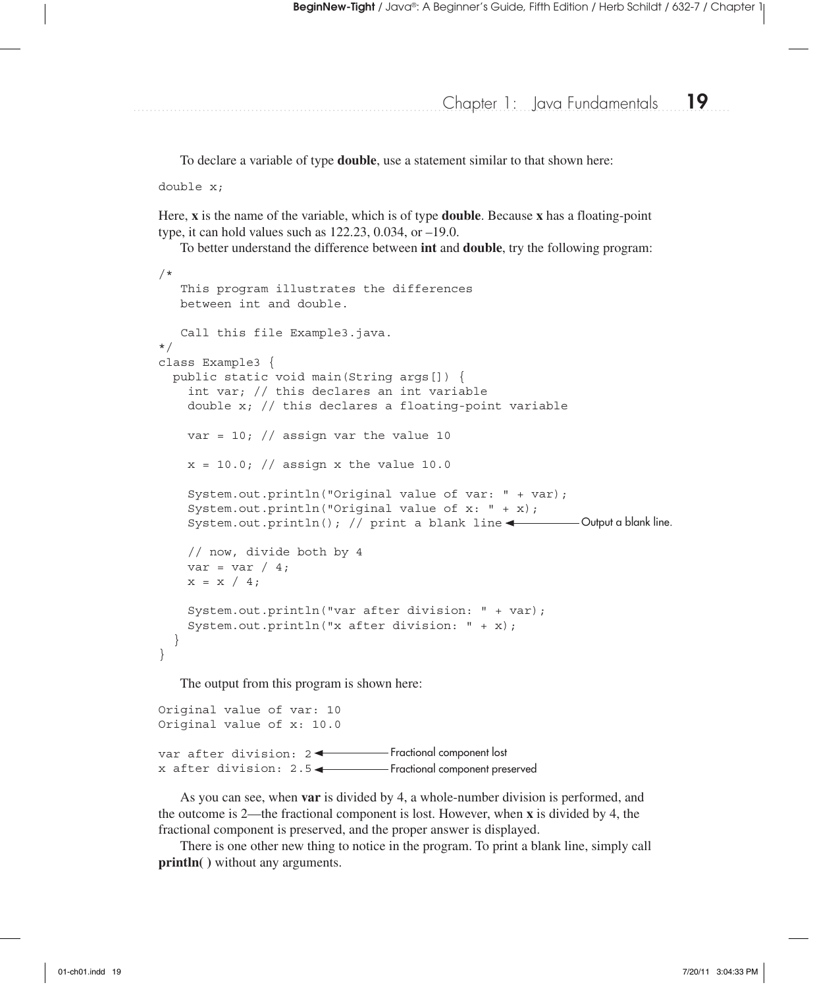To declare a variable of type **double**, use a statement similar to that shown here:

double x;

Here, **x** is the name of the variable, which is of type **double**. Because **x** has a floating-point type, it can hold values such as 122.23, 0.034, or –19.0.

To better understand the difference between **int** and **double**, try the following program:

```
/*
    This program illustrates the differences
    between int and double.
    Call this file Example3.java.
*/
class Example3 {
   public static void main(String args[]) {
     int var; // this declares an int variable
     double x; // this declares a floating-point variable
    var = 10; // assign var the value 10
    x = 10.0; // assign x the value 10.0
     System.out.println("Original value of var: " + var);
    System.out.println("Original value of x: " + x);
    System.out.println(); // print a blank line \longleftarrow // now, divide both by 4
    var = var / 4;
    x = x / 4; System.out.println("var after division: " + var);
    System.out.println("x after division: " + x);
   }
}
                                                         —— Output a blank line.
```
The output from this program is shown here:

Original value of var: 10 Original value of x: 10.0 var after division: 2 Fractional component lost x after division: 2.5 Fractional component preserved

As you can see, when **var** is divided by 4, a whole-number division is performed, and the outcome is 2—the fractional component is lost. However, when **x** is divided by 4, the fractional component is preserved, and the proper answer is displayed.

There is one other new thing to notice in the program. To print a blank line, simply call **println( )** without any arguments.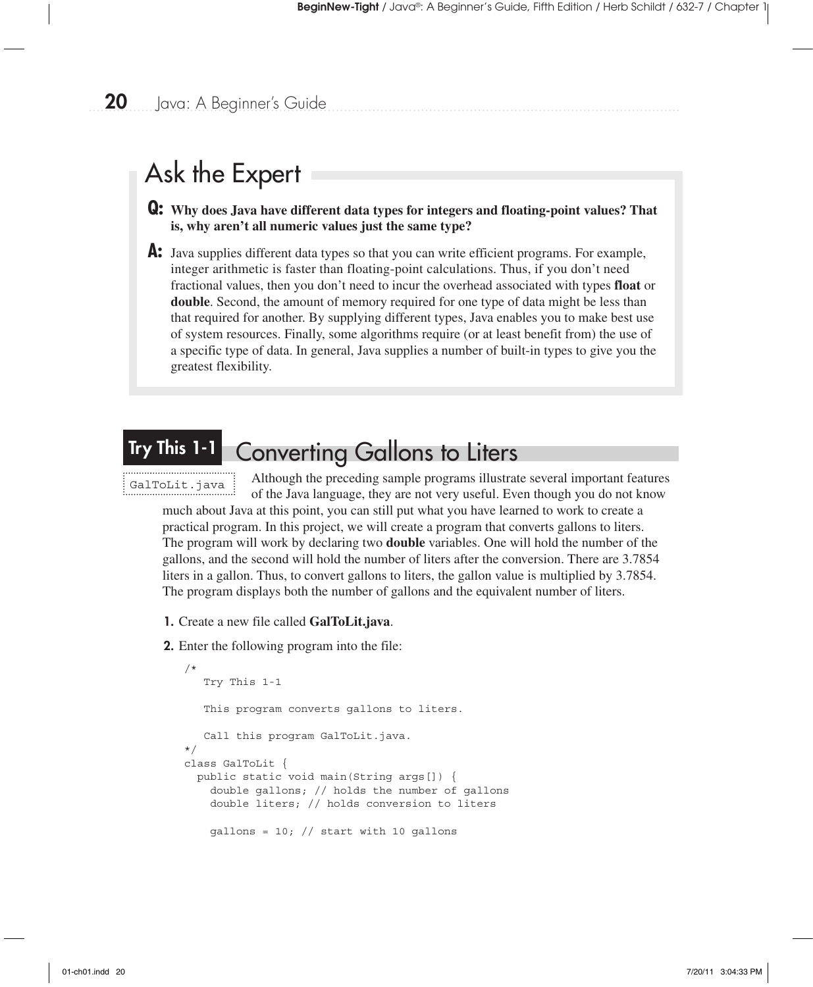# Ask the Expert

- **Q: Why does Java have different data types for integers and floating-point values? That is, why aren't all numeric values just the same type?**
- A: Java supplies different data types so that you can write efficient programs. For example, integer arithmetic is faster than floating-point calculations. Thus, if you don't need fractional values, then you don't need to incur the overhead associated with types **float** or **double**. Second, the amount of memory required for one type of data might be less than that required for another. By supplying different types, Java enables you to make best use of system resources. Finally, some algorithms require (or at least benefit from) the use of a specific type of data. In general, Java supplies a number of built-in types to give you the greatest flexibility.

# Try This 1-1 Converting Gallons to Liters

Although the preceding sample programs illustrate several important features of the Java language, they are not very useful. Even though you do not know much about Java at this point, you can still put what you have learned to work to create a practical program. In this project, we will create a program that converts gallons to liters. The program will work by declaring two **double** variables. One will hold the number of the gallons, and the second will hold the number of liters after the conversion. There are 3.7854 liters in a gallon. Thus, to convert gallons to liters, the gallon value is multiplied by 3.7854. The program displays both the number of gallons and the equivalent number of liters. GalToLit.java

- 1. Create a new file called **GalToLit.java**.
- 2. Enter the following program into the file:

```
/*
   Try This 1-1
    This program converts gallons to liters.
    Call this program GalToLit.java.
*/
class GalToLit {
  public static void main(String args[]) {
     double gallons; // holds the number of gallons
     double liters; // holds conversion to liters
     gallons = 10; // start with 10 gallons
```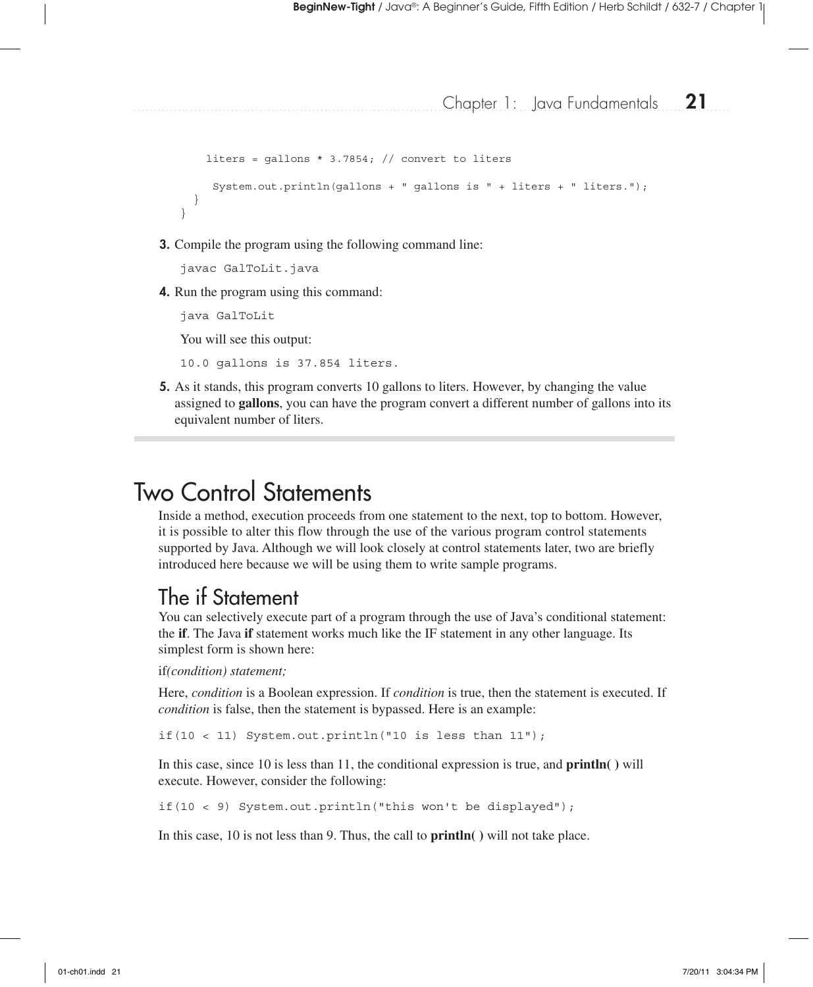```
liters = gallons * 3.7854; // convert to liters
     System.out.println(gallons + " gallons is " + liters + " liters.");
   }
}
```
3. Compile the program using the following command line:

javac GalToLit.java

4. Run the program using this command:

java GalToLit

You will see this output:

10.0 gallons is 37.854 liters.

5. As it stands, this program converts 10 gallons to liters. However, by changing the value assigned to **gallons**, you can have the program convert a different number of gallons into its equivalent number of liters.

### Two Control Statements

Inside a method, execution proceeds from one statement to the next, top to bottom. However, it is possible to alter this flow through the use of the various program control statements supported by Java. Although we will look closely at control statements later, two are briefly introduced here because we will be using them to write sample programs.

### The if Statement

You can selectively execute part of a program through the use of Java's conditional statement: the **if**. The Java **if** statement works much like the IF statement in any other language. Its simplest form is shown here:

if*(condition) statement;*

Here, *condition* is a Boolean expression. If *condition* is true, then the statement is executed. If *condition* is false, then the statement is bypassed. Here is an example:

if(10 < 11) System.out.println("10 is less than  $11"$ );

In this case, since 10 is less than 11, the conditional expression is true, and **println( )** will execute. However, consider the following:

if(10 < 9) System.out.println("this won't be displayed");

In this case, 10 is not less than 9. Thus, the call to **println( )** will not take place.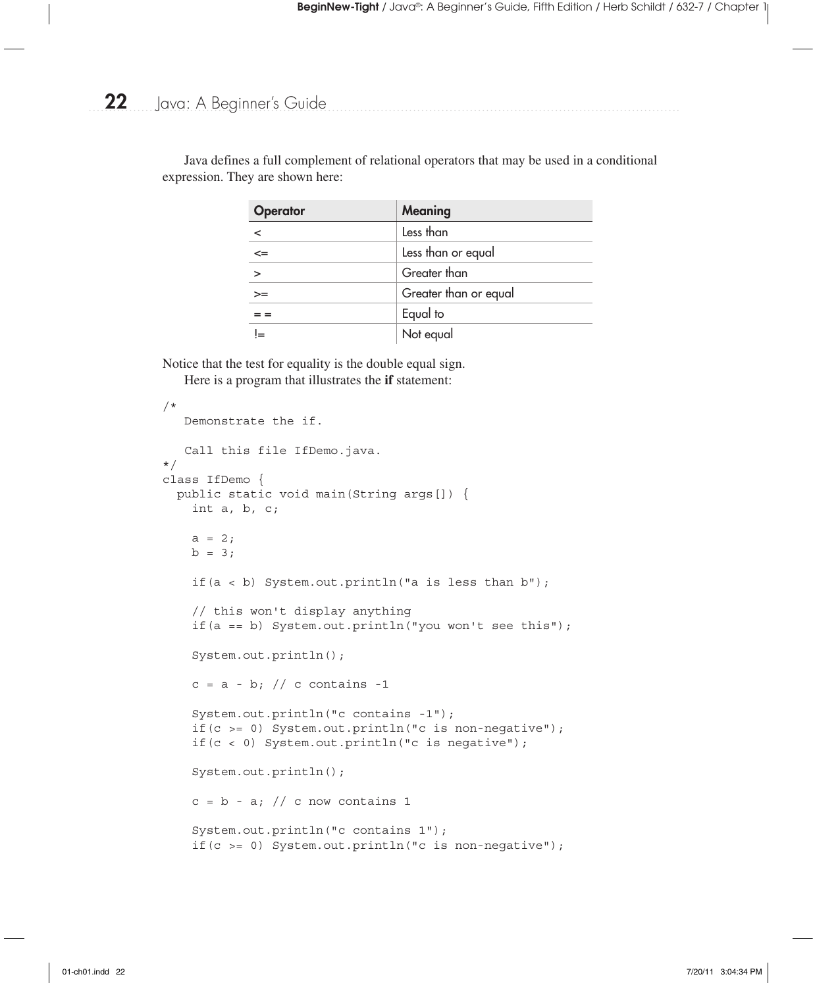Java defines a full complement of relational operators that may be used in a conditional expression. They are shown here:

| Operator | Meaning               |  |  |
|----------|-----------------------|--|--|
|          | Less than             |  |  |
| $\leq$   | Less than or equal    |  |  |
|          | Greater than          |  |  |
| $>=$     | Greater than or equal |  |  |
|          | Equal to              |  |  |
|          | Not equal             |  |  |

Notice that the test for equality is the double equal sign. Here is a program that illustrates the **if** statement:

```
/*
   Demonstrate the if.
    Call this file IfDemo.java.
*/
class IfDemo {
  public static void main(String args[]) {
     int a, b, c;
   a = 2;b = 3;if(a < b) System.out.println("a is less than b");
     // this won't display anything
     if(a == b) System.out.println("you won't see this");
     System.out.println();
    c = a - b; // c contains -1
     System.out.println("c contains -1");
    if(c \ge 0) System.out.println("c is non-negative");
    if(c < 0) System.out.println("c is negative");
     System.out.println();
    c = b - a; // c now contains 1
     System.out.println("c contains 1");
     if(c >= 0) System.out.println("c is non-negative");
```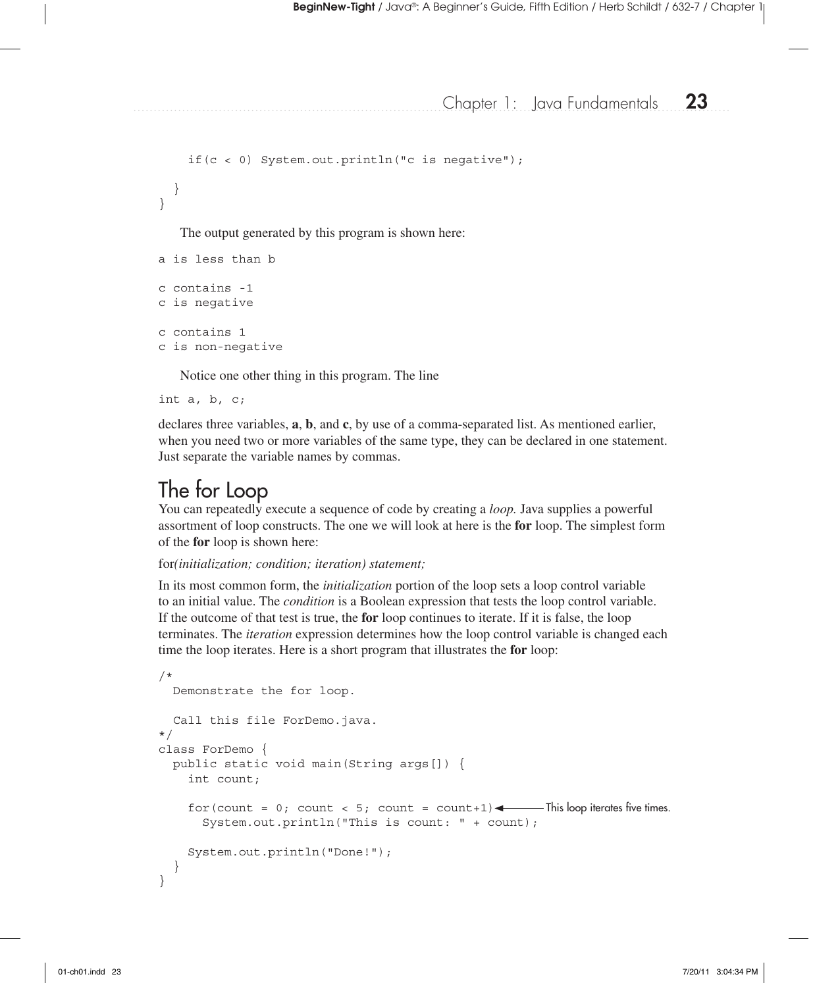```
if(c < 0) System.out.println("c is negative");
  }
}
```
The output generated by this program is shown here:

```
a is less than b
c contains -1
c is negative
c contains 1
c is non-negative
```
Notice one other thing in this program. The line

int a, b, c;

declares three variables, **a**, **b**, and **c**, by use of a comma-separated list. As mentioned earlier, when you need two or more variables of the same type, they can be declared in one statement. Just separate the variable names by commas.

# The for Loop

You can repeatedly execute a sequence of code by creating a *loop.* Java supplies a powerful assortment of loop constructs. The one we will look at here is the **for** loop. The simplest form of the **for** loop is shown here:

for*(initialization; condition; iteration) statement;*

In its most common form, the *initialization* portion of the loop sets a loop control variable to an initial value. The *condition* is a Boolean expression that tests the loop control variable. If the outcome of that test is true, the **for** loop continues to iterate. If it is false, the loop terminates. The *iteration* expression determines how the loop control variable is changed each time the loop iterates. Here is a short program that illustrates the **for** loop:

```
/*
   Demonstrate the for loop.
   Call this file ForDemo.java.
*/
class ForDemo {
   public static void main(String args[]) {
     int count;
for (count = 0; count < 5; count = count+1) \blacktriangleleft This loop iterates five times.
       System.out.println("This is count: " + count);
     System.out.println("Done!");
   }
}
```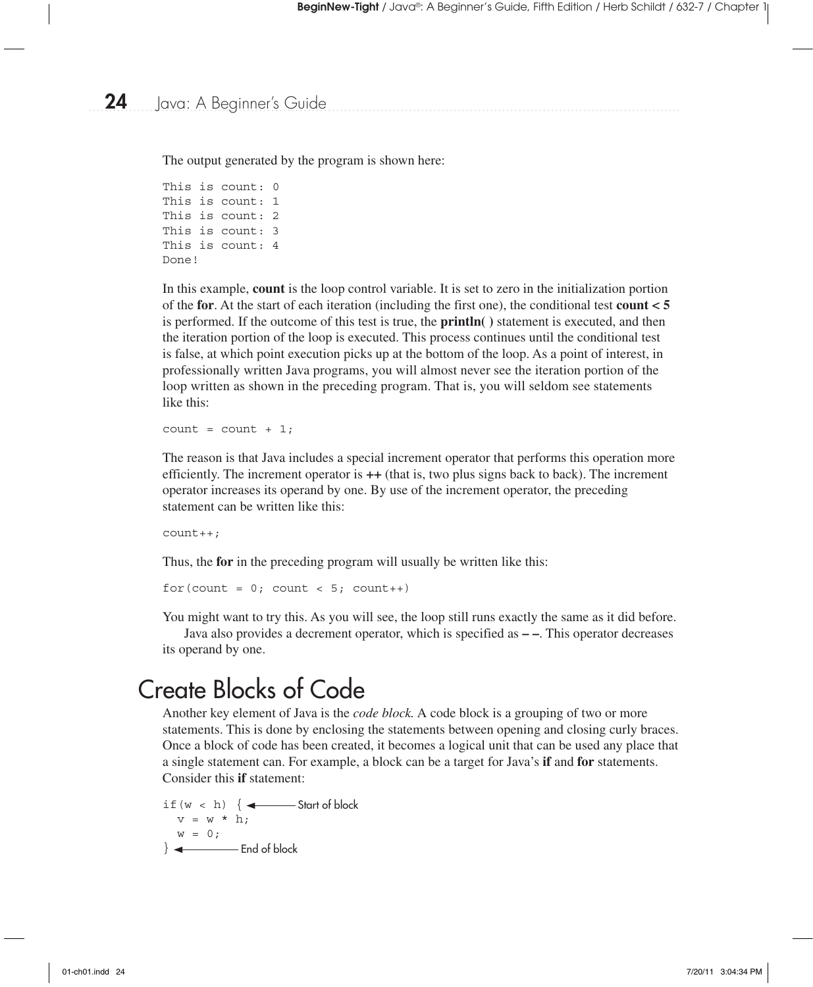The output generated by the program is shown here:

This is count: 0 This is count: 1 This is count: 2 This is count: 3 This is count: 4 Done!

In this example, **count** is the loop control variable. It is set to zero in the initialization portion of the **for**. At the start of each iteration (including the first one), the conditional test **count < 5**  is performed. If the outcome of this test is true, the **println( )** statement is executed, and then the iteration portion of the loop is executed. This process continues until the conditional test is false, at which point execution picks up at the bottom of the loop. As a point of interest, in professionally written Java programs, you will almost never see the iteration portion of the loop written as shown in the preceding program. That is, you will seldom see statements like this:

 $count = count + 1;$ 

The reason is that Java includes a special increment operator that performs this operation more efficiently. The increment operator is **++** (that is, two plus signs back to back). The increment operator increases its operand by one. By use of the increment operator, the preceding statement can be written like this:

count++;

Thus, the **for** in the preceding program will usually be written like this:

for(count =  $0$ ; count <  $5$ ; count++)

You might want to try this. As you will see, the loop still runs exactly the same as it did before.

Java also provides a decrement operator, which is specified as **– –**. This operator decreases its operand by one.

# Create Blocks of Code

Another key element of Java is the *code block.* A code block is a grouping of two or more statements. This is done by enclosing the statements between opening and closing curly braces. Once a block of code has been created, it becomes a logical unit that can be used any place that a single statement can. For example, a block can be a target for Java's **if** and **for** statements. Consider this **if** statement:

```
if(w < h) \{ \longleftarrow Start of block
 v = w * h;w = 0;}
End of block
```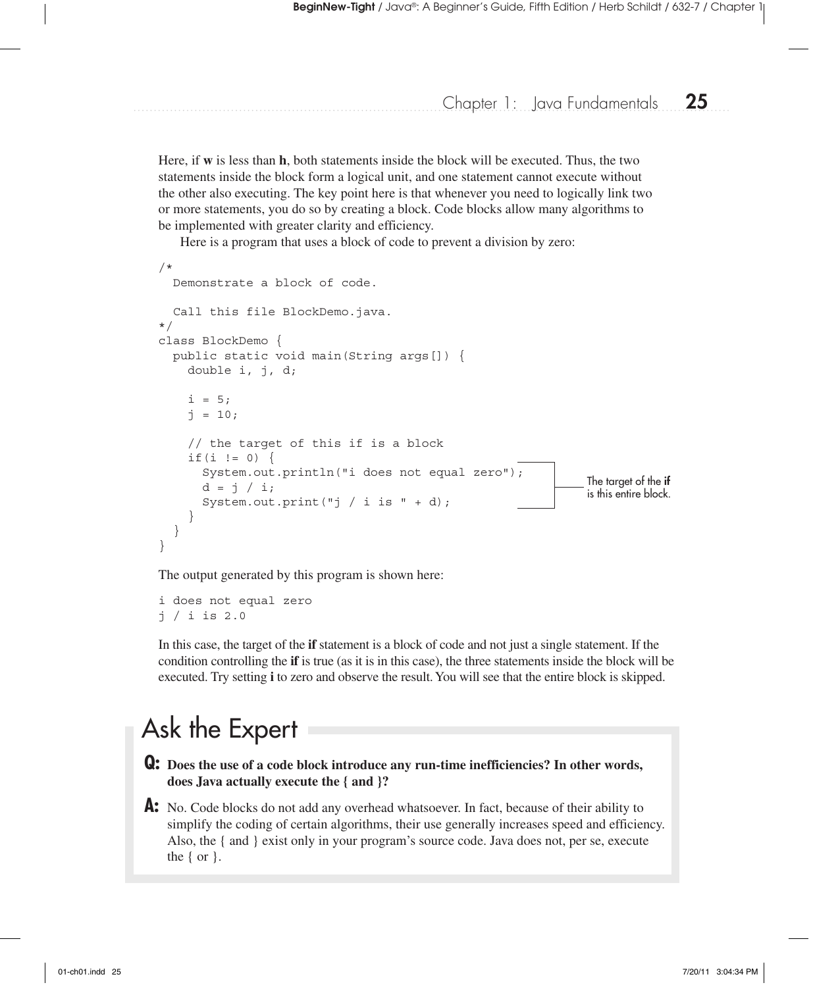Here, if **w** is less than **h**, both statements inside the block will be executed. Thus, the two statements inside the block form a logical unit, and one statement cannot execute without the other also executing. The key point here is that whenever you need to logically link two or more statements, you do so by creating a block. Code blocks allow many algorithms to be implemented with greater clarity and efficiency.

Here is a program that uses a block of code to prevent a division by zero:

```
/*
   Demonstrate a block of code.
   Call this file BlockDemo.java.
*/
class BlockDemo {
   public static void main(String args[]) {
     double i, j, d;
    i = 5;
    j = 10; // the target of this if is a block
    if(i != 0) {
       System.out.println("i does not equal zero");
      d = j / i;System.out.print("j / i is " + d);
     }
   }
}
                                                                 The target of the if
                                                                 is this entire block.
```
The output generated by this program is shown here:

i does not equal zero j / i is 2.0

In this case, the target of the **if** statement is a block of code and not just a single statement. If the condition controlling the **if** is true (as it is in this case), the three statements inside the block will be executed. Try setting **i** to zero and observe the result. You will see that the entire block is skipped.

# Ask the Expert

- **Q: Does the use of a code block introduce any run-time inefficiencies? In other words, does Java actually execute the { and }?**
- A: No. Code blocks do not add any overhead whatsoever. In fact, because of their ability to simplify the coding of certain algorithms, their use generally increases speed and efficiency. Also, the { and } exist only in your program's source code. Java does not, per se, execute the  $\{$  or  $\}$ .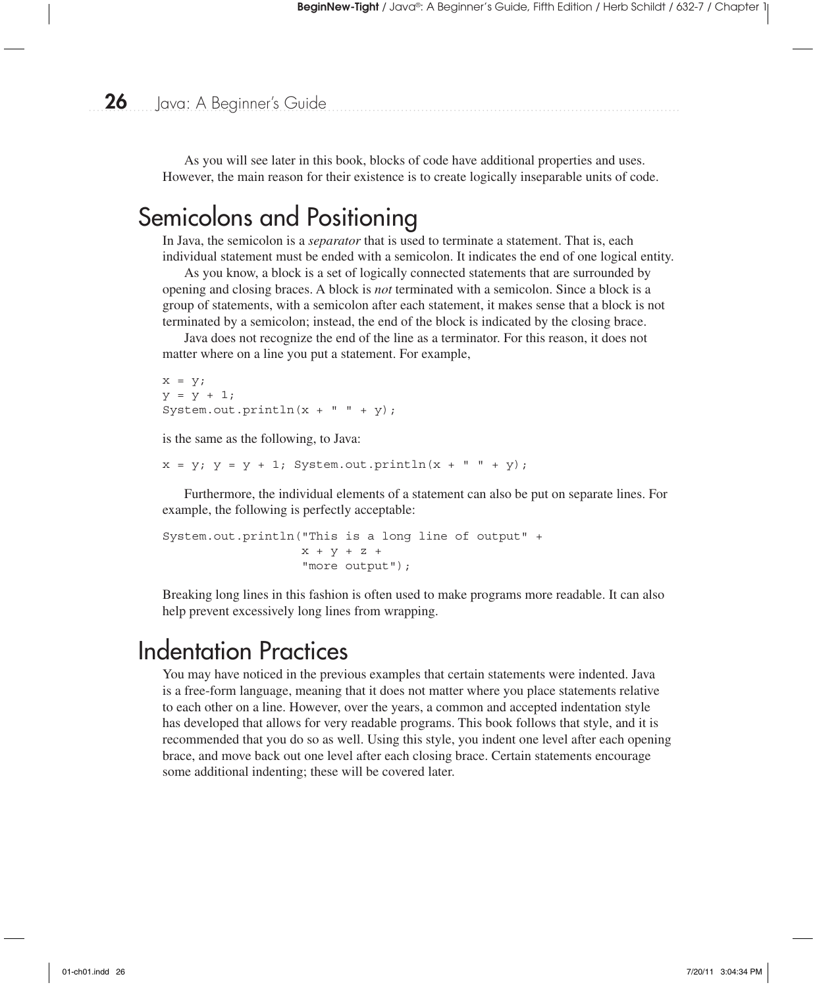As you will see later in this book, blocks of code have additional properties and uses. However, the main reason for their existence is to create logically inseparable units of code.

# Semicolons and Positioning

In Java, the semicolon is a *separator* that is used to terminate a statement. That is, each individual statement must be ended with a semicolon. It indicates the end of one logical entity.

As you know, a block is a set of logically connected statements that are surrounded by opening and closing braces. A block is *not* terminated with a semicolon. Since a block is a group of statements, with a semicolon after each statement, it makes sense that a block is not terminated by a semicolon; instead, the end of the block is indicated by the closing brace.

Java does not recognize the end of the line as a terminator. For this reason, it does not matter where on a line you put a statement. For example,

```
x = y;y = y + 1;System.out.println(x + " " + y);
```
is the same as the following, to Java:

 $x = y$ ;  $y = y + 1$ ; System.out.println(x + " " + y);

Furthermore, the individual elements of a statement can also be put on separate lines. For example, the following is perfectly acceptable:

```
System.out.println("This is a long line of output" +
                   x + y + z + "more output");
```
Breaking long lines in this fashion is often used to make programs more readable. It can also help prevent excessively long lines from wrapping.

### Indentation Practices

You may have noticed in the previous examples that certain statements were indented. Java is a free-form language, meaning that it does not matter where you place statements relative to each other on a line. However, over the years, a common and accepted indentation style has developed that allows for very readable programs. This book follows that style, and it is recommended that you do so as well. Using this style, you indent one level after each opening brace, and move back out one level after each closing brace. Certain statements encourage some additional indenting; these will be covered later.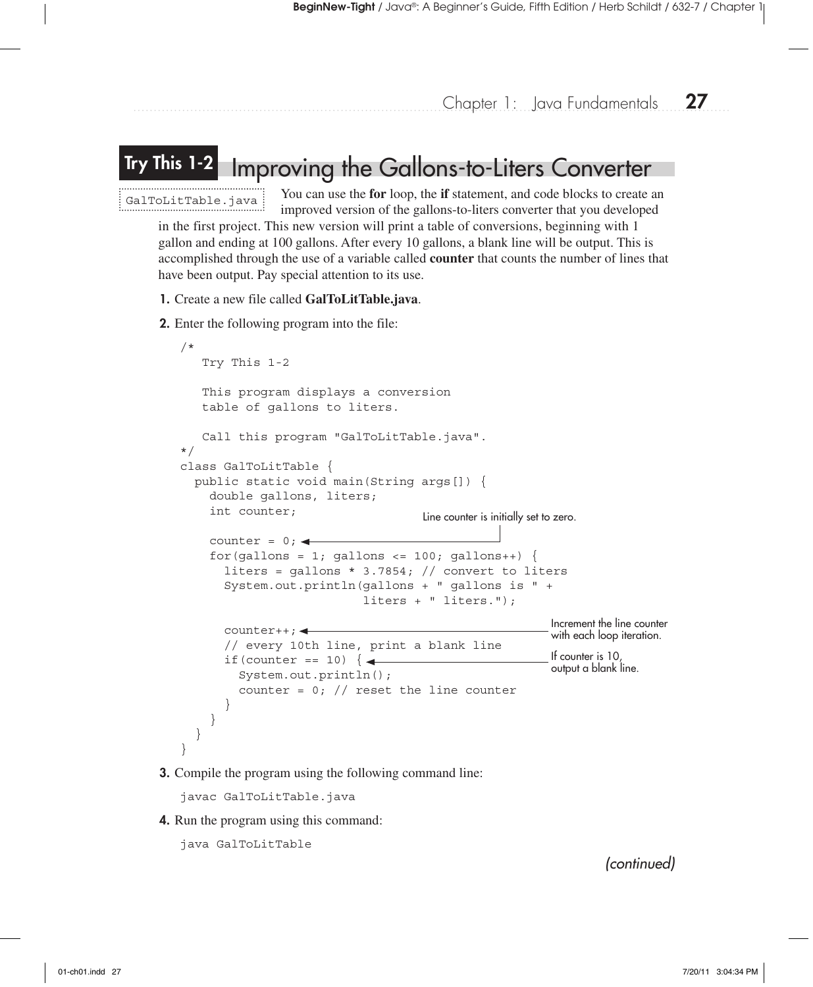# Try This 1-2 Improving the Gallons-to-Liters Converter

GalToLitTable.java

You can use the **for** loop, the **if** statement, and code blocks to create an improved version of the gallons-to-liters converter that you developed

in the first project. This new version will print a table of conversions, beginning with 1 gallon and ending at 100 gallons. After every 10 gallons, a blank line will be output. This is accomplished through the use of a variable called **counter** that counts the number of lines that have been output. Pay special attention to its use.

1. Create a new file called **GalToLitTable.java**.

2. Enter the following program into the file:

```
/*
    Try This 1-2
    This program displays a conversion
    table of gallons to liters.
   Call this program "GalToLitTable.java".
*/
class GalToLitTable {
   public static void main(String args[]) {
     double gallons, liters;
     int counter;
    counter = 0; \leftarrowfor(qallons = 1; qallons <= 100; qallons++) {
      liters = gallons * 3.7854; // convert to liters
       System.out.println(gallons + " gallons is " +
                              liters + " liters.");
      counter++; // every 10th line, print a blank line
      if(counter == 10) \left\{ \right. System.out.println();
         counter = 0; // reset the line counter
       }
     }
 }
}
                                      Line counter is initially set to zero.
                                                           Increment the line counter 
                                                           with each loop iteration.
                                                           If counter is 10, 
                                                           output a blank line.
```
3. Compile the program using the following command line:

javac GalToLitTable.java

4. Run the program using this command:

java GalToLitTable

*(continued)*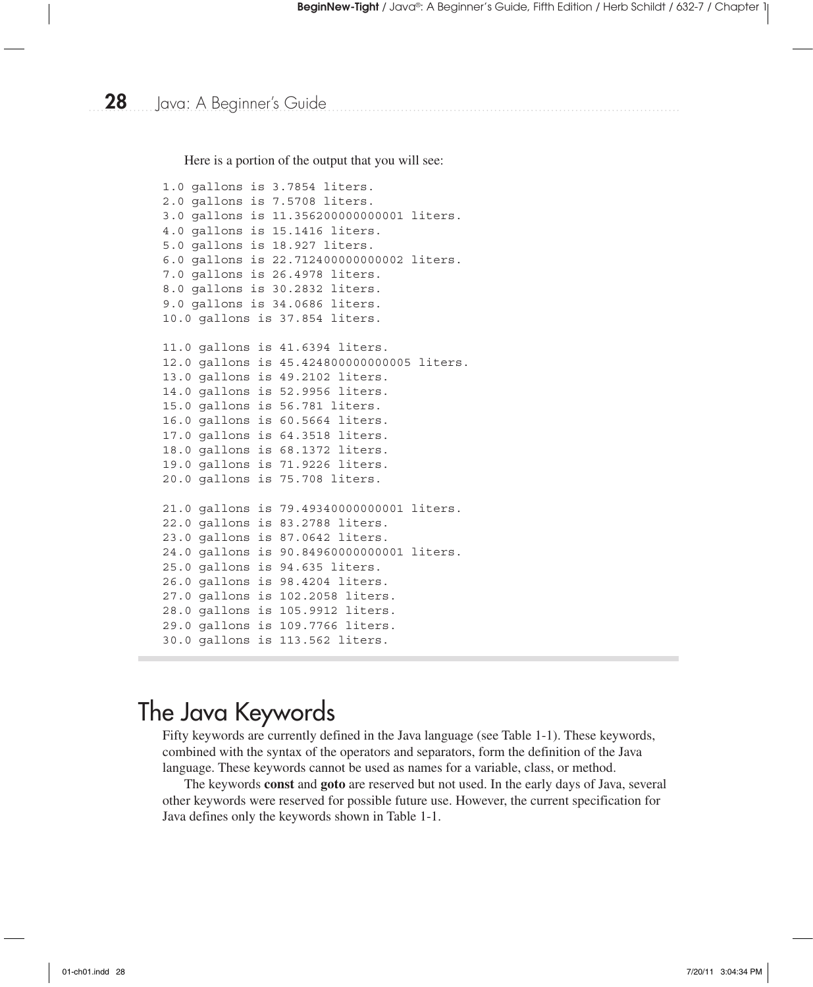Here is a portion of the output that you will see:

```
1.0 gallons is 3.7854 liters.
2.0 gallons is 7.5708 liters.
3.0 gallons is 11.356200000000001 liters.
4.0 gallons is 15.1416 liters.
5.0 gallons is 18.927 liters.
6.0 gallons is 22.712400000000002 liters.
7.0 gallons is 26.4978 liters.
8.0 gallons is 30.2832 liters.
9.0 gallons is 34.0686 liters.
10.0 gallons is 37.854 liters.
11.0 gallons is 41.6394 liters.
12.0 gallons is 45.424800000000005 liters.
13.0 gallons is 49.2102 liters.
14.0 gallons is 52.9956 liters.
15.0 gallons is 56.781 liters.
16.0 gallons is 60.5664 liters.
17.0 gallons is 64.3518 liters.
18.0 gallons is 68.1372 liters.
19.0 gallons is 71.9226 liters.
20.0 gallons is 75.708 liters.
21.0 gallons is 79.49340000000001 liters.
22.0 gallons is 83.2788 liters.
23.0 gallons is 87.0642 liters.
24.0 gallons is 90.84960000000001 liters.
25.0 gallons is 94.635 liters.
26.0 gallons is 98.4204 liters.
27.0 gallons is 102.2058 liters.
28.0 gallons is 105.9912 liters.
29.0 gallons is 109.7766 liters.
30.0 gallons is 113.562 liters.
```
### The Java Keywords

Fifty keywords are currently defined in the Java language (see Table 1-1). These keywords, combined with the syntax of the operators and separators, form the definition of the Java language. These keywords cannot be used as names for a variable, class, or method.

The keywords **const** and **goto** are reserved but not used. In the early days of Java, several other keywords were reserved for possible future use. However, the current specification for Java defines only the keywords shown in Table 1-1.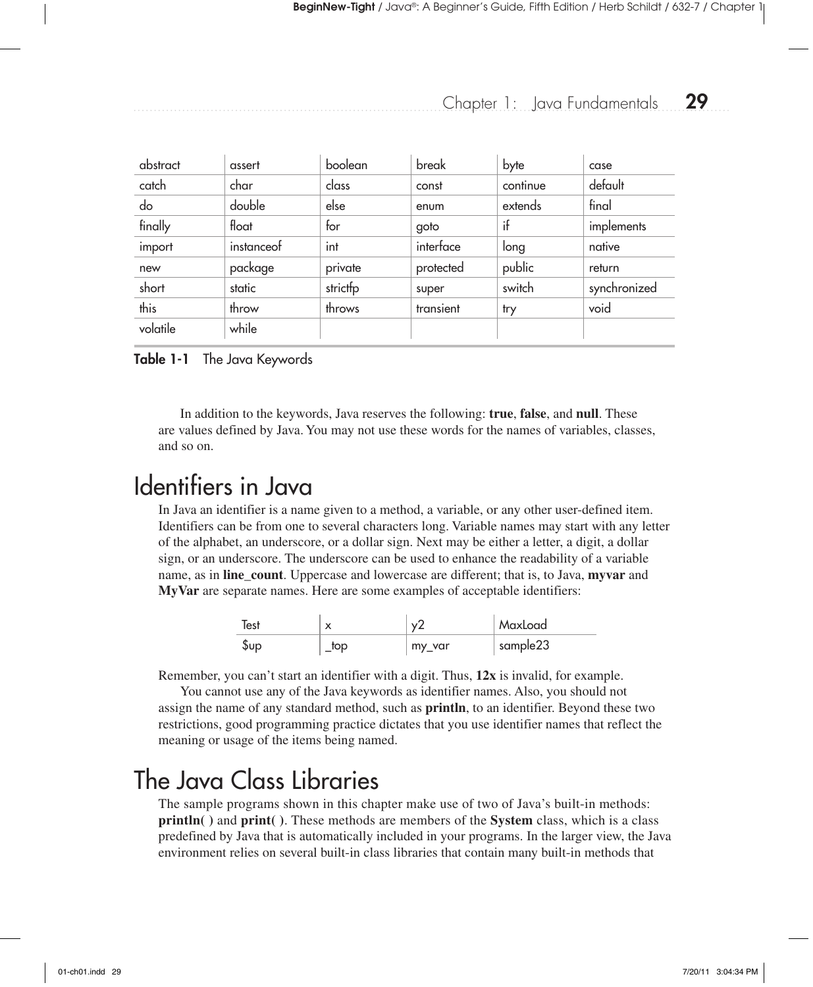| abstract | assert     | boolean  | break     | byte     | case         |
|----------|------------|----------|-----------|----------|--------------|
| catch    | char       | class    | const     | continue | default      |
| do       | double     | else     | enum      | extends  | final        |
| finally  | float      | for      | goto      | if       | implements   |
| import   | instanceof | int      | interface | long     | native       |
| new      | package    | private  | protected | public   | return       |
| short    | static     | strictfp | super     | switch   | synchronized |
| this     | throw      | throws   | transient | try      | void         |
| volatile | while      |          |           |          |              |

#### Table 1-1 The Java Keywords

In addition to the keywords, Java reserves the following: **true**, **false**, and **null**. These are values defined by Java. You may not use these words for the names of variables, classes, and so on.

## Identifiers in Java

In Java an identifier is a name given to a method, a variable, or any other user-defined item. Identifiers can be from one to several characters long. Variable names may start with any letter of the alphabet, an underscore, or a dollar sign. Next may be either a letter, a digit, a dollar sign, or an underscore. The underscore can be used to enhance the readability of a variable name, as in **line\_count**. Uppercase and lowercase are different; that is, to Java, **myvar** and **MyVar** are separate names. Here are some examples of acceptable identifiers:

| <b>fest</b> |          |        | MaxLoad  |
|-------------|----------|--------|----------|
| 9nd         | ror<br>- | my_var | sample23 |

Remember, you can't start an identifier with a digit. Thus, **12x** is invalid, for example.

You cannot use any of the Java keywords as identifier names. Also, you should not assign the name of any standard method, such as **println**, to an identifier. Beyond these two restrictions, good programming practice dictates that you use identifier names that reflect the meaning or usage of the items being named.

## The Java Class Libraries

The sample programs shown in this chapter make use of two of Java's built-in methods: **println( )** and **print( )**. These methods are members of the **System** class, which is a class predefined by Java that is automatically included in your programs. In the larger view, the Java environment relies on several built-in class libraries that contain many built-in methods that